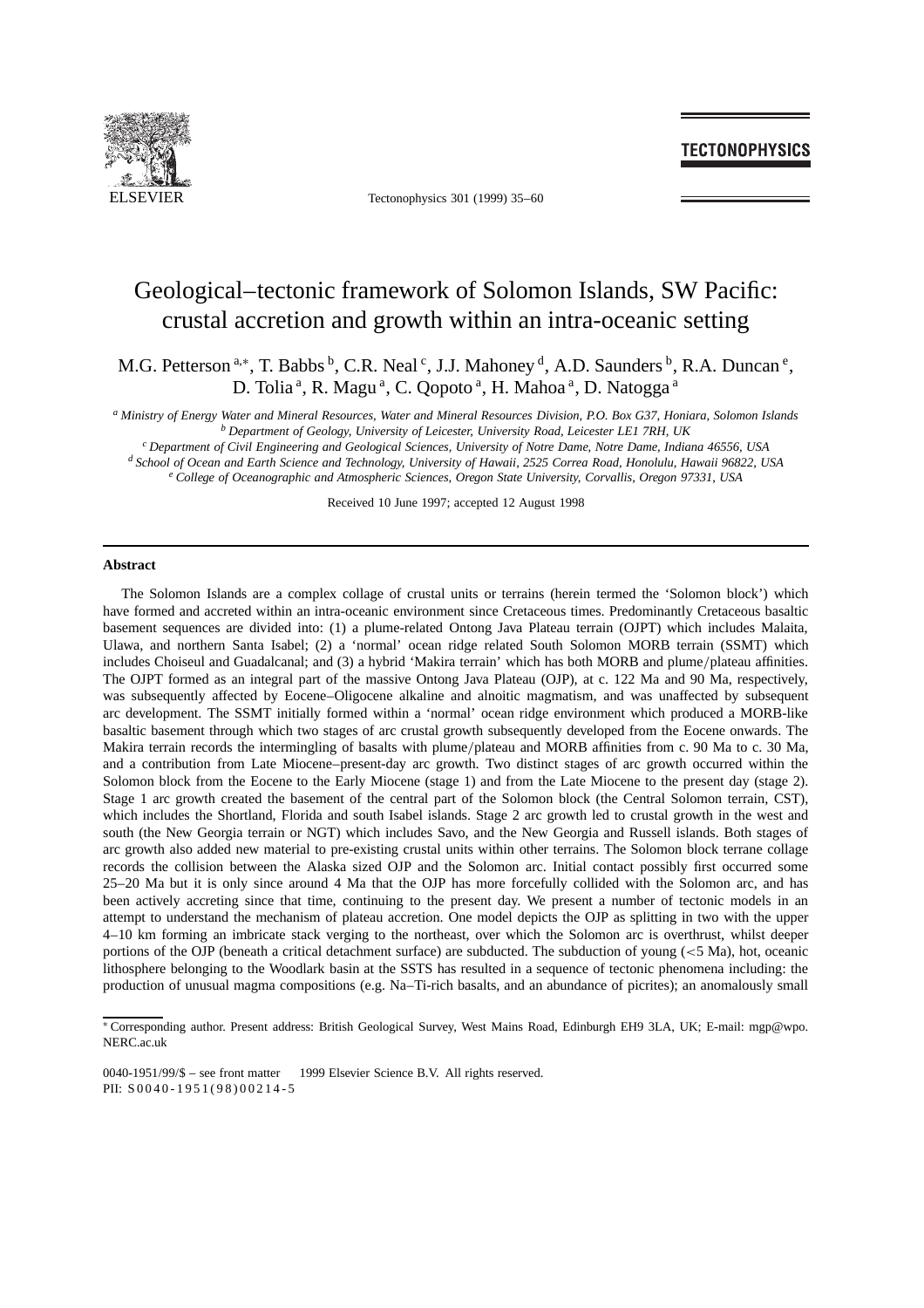

ELSEVIER Tectonophysics 301 (1999) 35–60

# **TECTONOPHYSICS**

# Geological–tectonic framework of Solomon Islands, SW Pacific: crustal accretion and growth within an intra-oceanic setting

M.G. Petterson <sup>a,\*</sup>, T. Babbs <sup>b</sup>, C.R. Neal <sup>c</sup>, J.J. Mahoney <sup>d</sup>, A.D. Saunders <sup>b</sup>, R.A. Duncan <sup>e</sup>, D. Tolia<sup>a</sup>, R. Magu<sup>a</sup>, C. Qopoto<sup>a</sup>, H. Mahoa<sup>a</sup>, D. Natogga<sup>a</sup>

*<sup>a</sup> Ministry of Energy Water and Mineral Resources, Water and Mineral Resources Division, P.O. Box G37, Honiara, Solomon Islands <sup>b</sup> Department of Geology, University of Leicester, University Road, Leicester LE1 7RH, UK*

*<sup>c</sup> Department of Civil Engineering and Geological Sciences, University of Notre Dame, Notre Dame, Indiana 46556, USA <sup>d</sup> School of Ocean and Earth Science and Technology, University of Hawaii, 2525 Correa Road, Honolulu, Hawaii 96822, USA*

*<sup>e</sup> College of Oceanographic and Atmospheric Sciences, Oregon State University, Corvallis, Oregon 97331, USA*

Received 10 June 1997; accepted 12 August 1998

#### **Abstract**

The Solomon Islands are a complex collage of crustal units or terrains (herein termed the 'Solomon block') which have formed and accreted within an intra-oceanic environment since Cretaceous times. Predominantly Cretaceous basaltic basement sequences are divided into: (1) a plume-related Ontong Java Plateau terrain (OJPT) which includes Malaita, Ulawa, and northern Santa Isabel; (2) a 'normal' ocean ridge related South Solomon MORB terrain (SSMT) which includes Choiseul and Guadalcanal; and (3) a hybrid 'Makira terrain' which has both MORB and plume/plateau affinities. The OJPT formed as an integral part of the massive Ontong Java Plateau (OJP), at c. 122 Ma and 90 Ma, respectively, was subsequently affected by Eocene–Oligocene alkaline and alnoitic magmatism, and was unaffected by subsequent arc development. The SSMT initially formed within a 'normal' ocean ridge environment which produced a MORB-like basaltic basement through which two stages of arc crustal growth subsequently developed from the Eocene onwards. The Makira terrain records the intermingling of basalts with plume/plateau and MORB affinities from c. 90 Ma to c. 30 Ma, and a contribution from Late Miocene–present-day arc growth. Two distinct stages of arc growth occurred within the Solomon block from the Eocene to the Early Miocene (stage 1) and from the Late Miocene to the present day (stage 2). Stage 1 arc growth created the basement of the central part of the Solomon block (the Central Solomon terrain, CST), which includes the Shortland, Florida and south Isabel islands. Stage 2 arc growth led to crustal growth in the west and south (the New Georgia terrain or NGT) which includes Savo, and the New Georgia and Russell islands. Both stages of arc growth also added new material to pre-existing crustal units within other terrains. The Solomon block terrane collage records the collision between the Alaska sized OJP and the Solomon arc. Initial contact possibly first occurred some 25–20 Ma but it is only since around 4 Ma that the OJP has more forcefully collided with the Solomon arc, and has been actively accreting since that time, continuing to the present day. We present a number of tectonic models in an attempt to understand the mechanism of plateau accretion. One model depicts the OJP as splitting in two with the upper 4–10 km forming an imbricate stack verging to the northeast, over which the Solomon arc is overthrust, whilst deeper portions of the OJP (beneath a critical detachment surface) are subducted. The subduction of young (<5 Ma), hot, oceanic lithosphere belonging to the Woodlark basin at the SSTS has resulted in a sequence of tectonic phenomena including: the production of unusual magma compositions (e.g. Na–Ti-rich basalts, and an abundance of picrites); an anomalously small

<sup>Ł</sup> Corresponding author. Present address: British Geological Survey, West Mains Road, Edinburgh EH9 3LA, UK; E-mail: mgp@wpo. NERC.ac.uk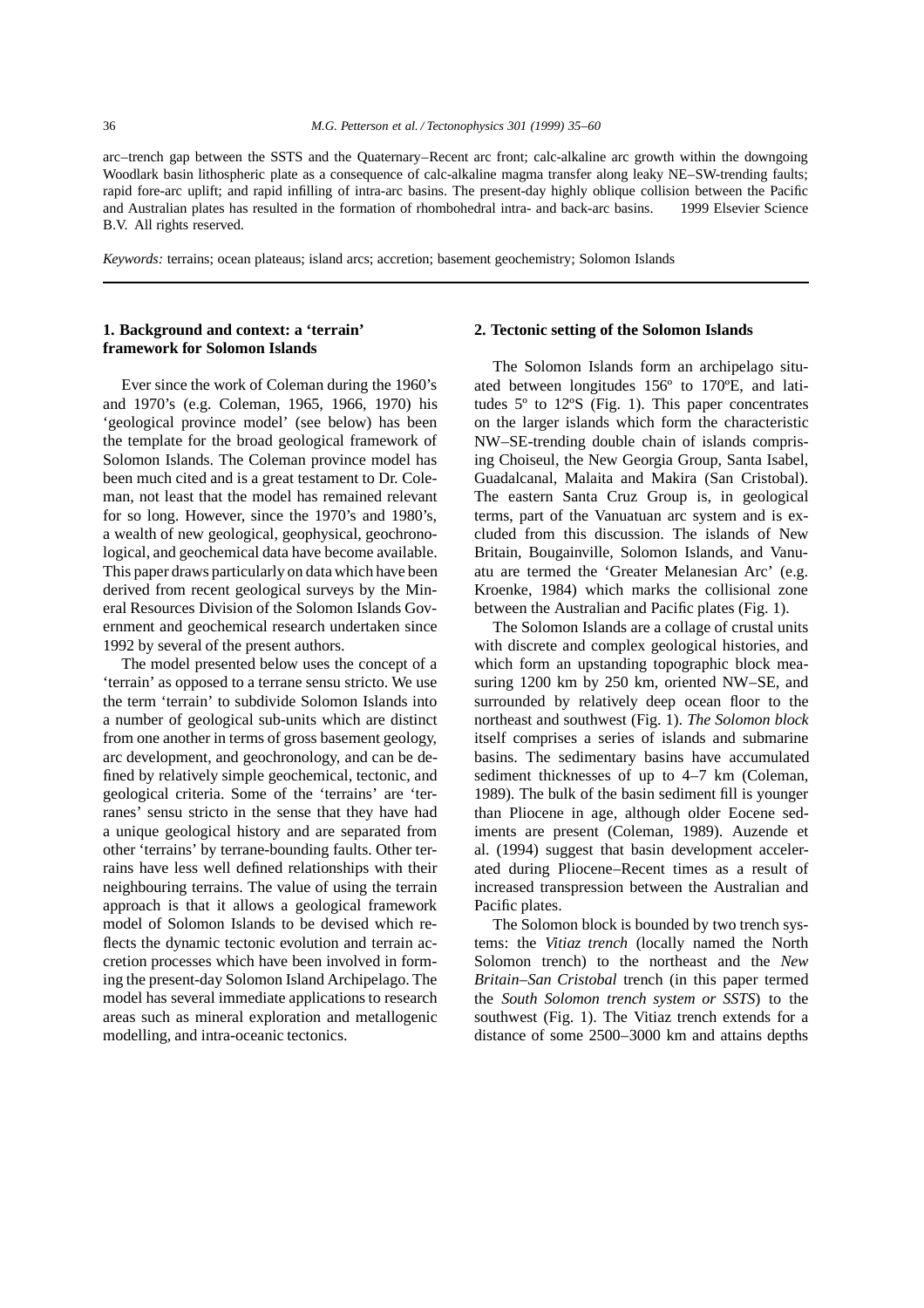arc–trench gap between the SSTS and the Quaternary–Recent arc front; calc-alkaline arc growth within the downgoing Woodlark basin lithospheric plate as a consequence of calc-alkaline magma transfer along leaky NE–SW-trending faults; rapid fore-arc uplift; and rapid infilling of intra-arc basins. The present-day highly oblique collision between the Pacific and Australian plates has resulted in the formation of rhombohedral intra- and back-arc basins. © 1999 Elsevier Science B.V. All rights reserved.

*Keywords:* terrains; ocean plateaus; island arcs; accretion; basement geochemistry; Solomon Islands

## **1. Background and context: a 'terrain' framework for Solomon Islands**

Ever since the work of Coleman during the 1960's and 1970's (e.g. Coleman, 1965, 1966, 1970) his 'geological province model' (see below) has been the template for the broad geological framework of Solomon Islands. The Coleman province model has been much cited and is a great testament to Dr. Coleman, not least that the model has remained relevant for so long. However, since the 1970's and 1980's, a wealth of new geological, geophysical, geochronological, and geochemical data have become available. This paper draws particularly on data which have been derived from recent geological surveys by the Mineral Resources Division of the Solomon Islands Government and geochemical research undertaken since 1992 by several of the present authors.

The model presented below uses the concept of a 'terrain' as opposed to a terrane sensu stricto. We use the term 'terrain' to subdivide Solomon Islands into a number of geological sub-units which are distinct from one another in terms of gross basement geology, arc development, and geochronology, and can be defined by relatively simple geochemical, tectonic, and geological criteria. Some of the 'terrains' are 'terranes' sensu stricto in the sense that they have had a unique geological history and are separated from other 'terrains' by terrane-bounding faults. Other terrains have less well defined relationships with their neighbouring terrains. The value of using the terrain approach is that it allows a geological framework model of Solomon Islands to be devised which reflects the dynamic tectonic evolution and terrain accretion processes which have been involved in forming the present-day Solomon Island Archipelago. The model has several immediate applications to research areas such as mineral exploration and metallogenic modelling, and intra-oceanic tectonics.

#### **2. Tectonic setting of the Solomon Islands**

The Solomon Islands form an archipelago situated between longitudes 156º to 170ºE, and latitudes 5º to 12ºS (Fig. 1). This paper concentrates on the larger islands which form the characteristic NW–SE-trending double chain of islands comprising Choiseul, the New Georgia Group, Santa Isabel, Guadalcanal, Malaita and Makira (San Cristobal). The eastern Santa Cruz Group is, in geological terms, part of the Vanuatuan arc system and is excluded from this discussion. The islands of New Britain, Bougainville, Solomon Islands, and Vanuatu are termed the 'Greater Melanesian Arc' (e.g. Kroenke, 1984) which marks the collisional zone between the Australian and Pacific plates (Fig. 1).

The Solomon Islands are a collage of crustal units with discrete and complex geological histories, and which form an upstanding topographic block measuring 1200 km by 250 km, oriented NW–SE, and surrounded by relatively deep ocean floor to the northeast and southwest (Fig. 1). *The Solomon block* itself comprises a series of islands and submarine basins. The sedimentary basins have accumulated sediment thicknesses of up to 4–7 km (Coleman, 1989). The bulk of the basin sediment fill is younger than Pliocene in age, although older Eocene sediments are present (Coleman, 1989). Auzende et al. (1994) suggest that basin development accelerated during Pliocene–Recent times as a result of increased transpression between the Australian and Pacific plates.

The Solomon block is bounded by two trench systems: the *Vitiaz trench* (locally named the North Solomon trench) to the northeast and the *New Britain–San Cristobal* trench (in this paper termed the *South Solomon trench system or SSTS*) to the southwest (Fig. 1). The Vitiaz trench extends for a distance of some 2500–3000 km and attains depths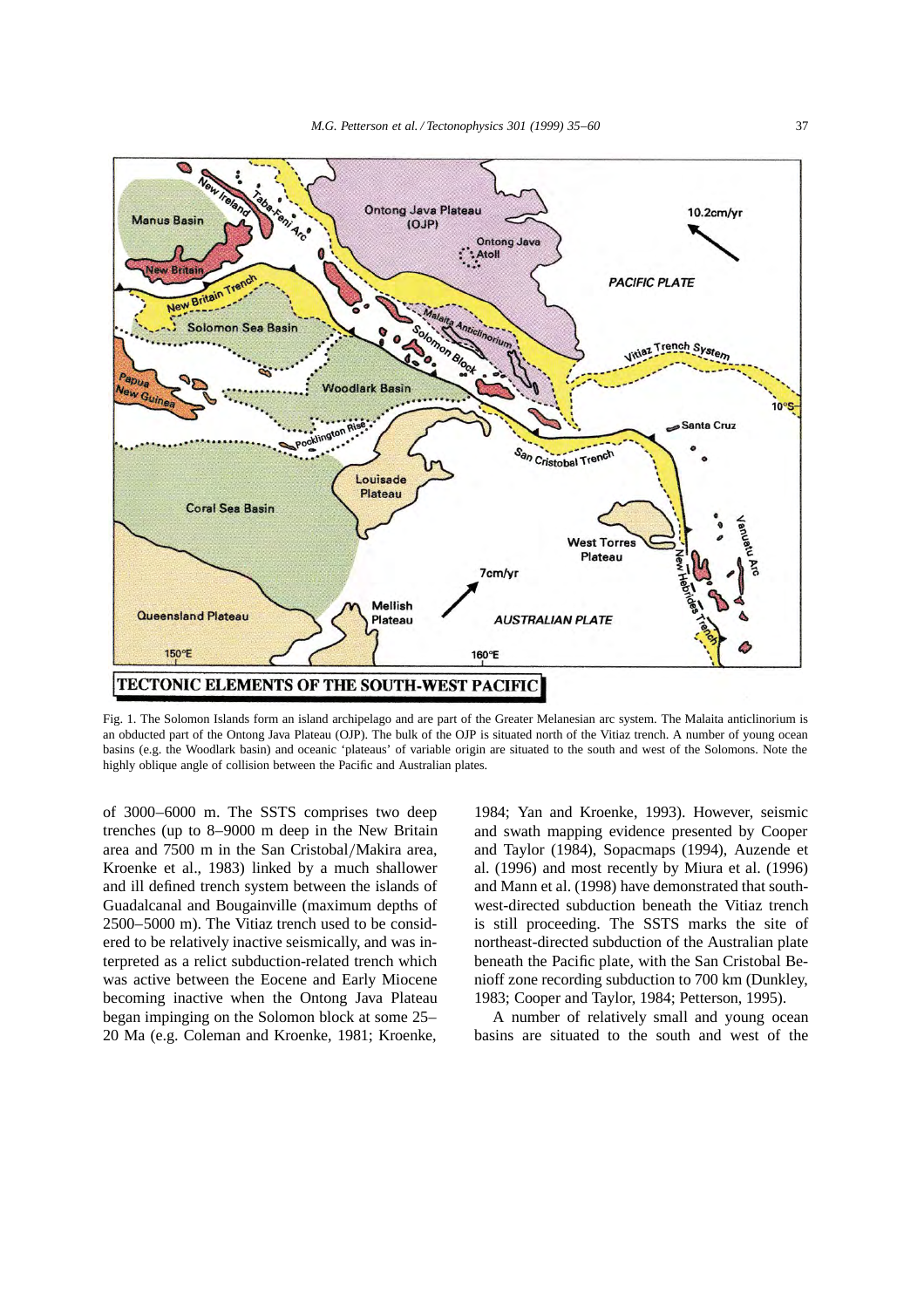

Fig. 1. The Solomon Islands form an island archipelago and are part of the Greater Melanesian arc system. The Malaita anticlinorium is an obducted part of the Ontong Java Plateau (OJP). The bulk of the OJP is situated north of the Vitiaz trench. A number of young ocean basins (e.g. the Woodlark basin) and oceanic 'plateaus' of variable origin are situated to the south and west of the Solomons. Note the highly oblique angle of collision between the Pacific and Australian plates.

of 3000–6000 m. The SSTS comprises two deep trenches (up to 8–9000 m deep in the New Britain area and 7500 m in the San Cristobal/Makira area, Kroenke et al., 1983) linked by a much shallower and ill defined trench system between the islands of Guadalcanal and Bougainville (maximum depths of 2500–5000 m). The Vitiaz trench used to be considered to be relatively inactive seismically, and was interpreted as a relict subduction-related trench which was active between the Eocene and Early Miocene becoming inactive when the Ontong Java Plateau began impinging on the Solomon block at some 25– 20 Ma (e.g. Coleman and Kroenke, 1981; Kroenke, 1984; Yan and Kroenke, 1993). However, seismic and swath mapping evidence presented by Cooper and Taylor (1984), Sopacmaps (1994), Auzende et al. (1996) and most recently by Miura et al. (1996) and Mann et al. (1998) have demonstrated that southwest-directed subduction beneath the Vitiaz trench is still proceeding. The SSTS marks the site of northeast-directed subduction of the Australian plate beneath the Pacific plate, with the San Cristobal Benioff zone recording subduction to 700 km (Dunkley, 1983; Cooper and Taylor, 1984; Petterson, 1995).

A number of relatively small and young ocean basins are situated to the south and west of the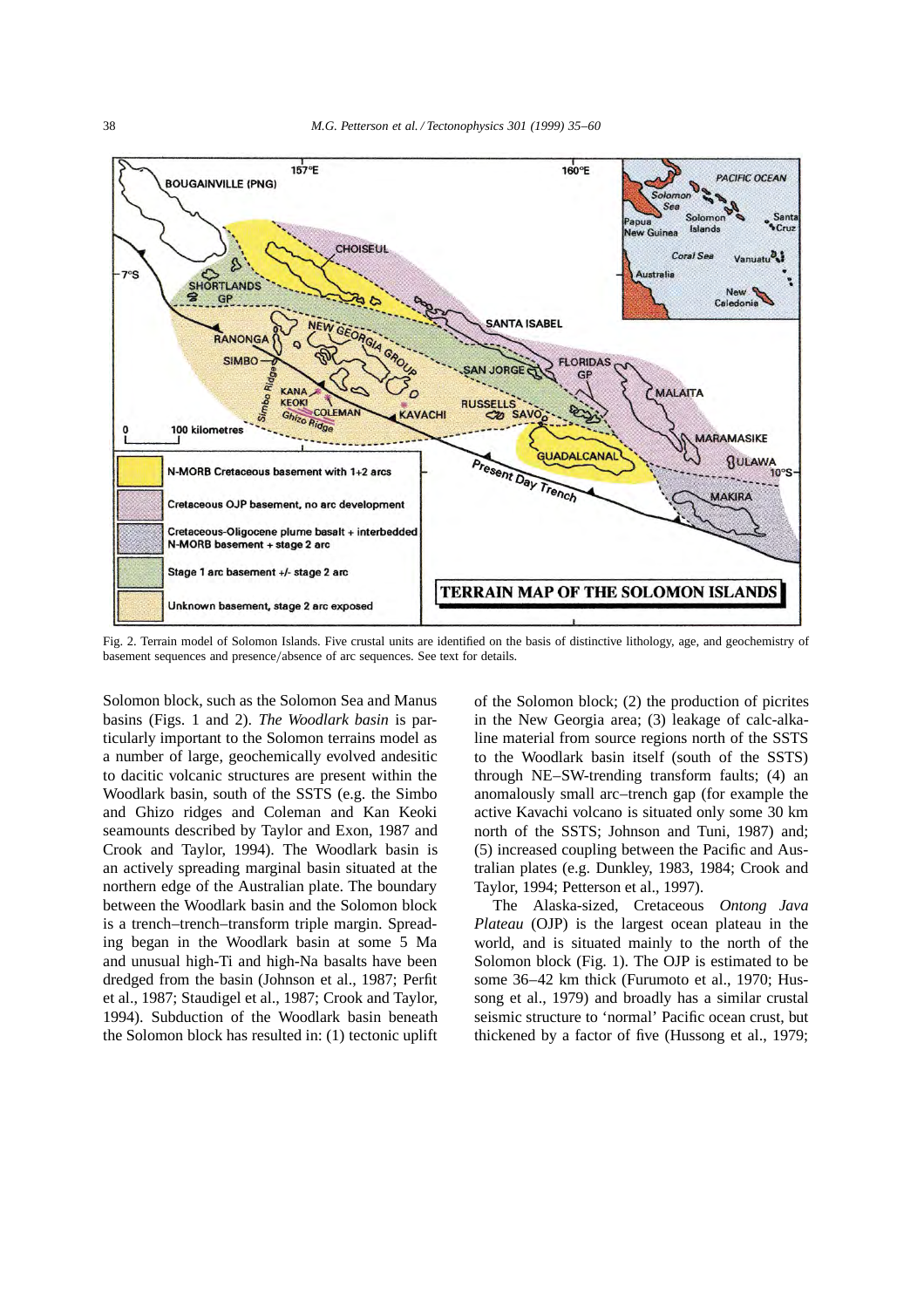

Fig. 2. Terrain model of Solomon Islands. Five crustal units are identified on the basis of distinctive lithology, age, and geochemistry of basement sequences and presence/absence of arc sequences. See text for details.

Solomon block, such as the Solomon Sea and Manus basins (Figs. 1 and 2). *The Woodlark basin* is particularly important to the Solomon terrains model as a number of large, geochemically evolved andesitic to dacitic volcanic structures are present within the Woodlark basin, south of the SSTS (e.g. the Simbo and Ghizo ridges and Coleman and Kan Keoki seamounts described by Taylor and Exon, 1987 and Crook and Taylor, 1994). The Woodlark basin is an actively spreading marginal basin situated at the northern edge of the Australian plate. The boundary between the Woodlark basin and the Solomon block is a trench–trench–transform triple margin. Spreading began in the Woodlark basin at some 5 Ma and unusual high-Ti and high-Na basalts have been dredged from the basin (Johnson et al., 1987; Perfit et al., 1987; Staudigel et al., 1987; Crook and Taylor, 1994). Subduction of the Woodlark basin beneath the Solomon block has resulted in: (1) tectonic uplift of the Solomon block; (2) the production of picrites in the New Georgia area; (3) leakage of calc-alkaline material from source regions north of the SSTS to the Woodlark basin itself (south of the SSTS) through NE–SW-trending transform faults; (4) an anomalously small arc–trench gap (for example the active Kavachi volcano is situated only some 30 km north of the SSTS; Johnson and Tuni, 1987) and; (5) increased coupling between the Pacific and Australian plates (e.g. Dunkley, 1983, 1984; Crook and Taylor, 1994; Petterson et al., 1997).

The Alaska-sized, Cretaceous *Ontong Java Plateau* (OJP) is the largest ocean plateau in the world, and is situated mainly to the north of the Solomon block (Fig. 1). The OJP is estimated to be some 36–42 km thick (Furumoto et al., 1970; Hussong et al., 1979) and broadly has a similar crustal seismic structure to 'normal' Pacific ocean crust, but thickened by a factor of five (Hussong et al., 1979;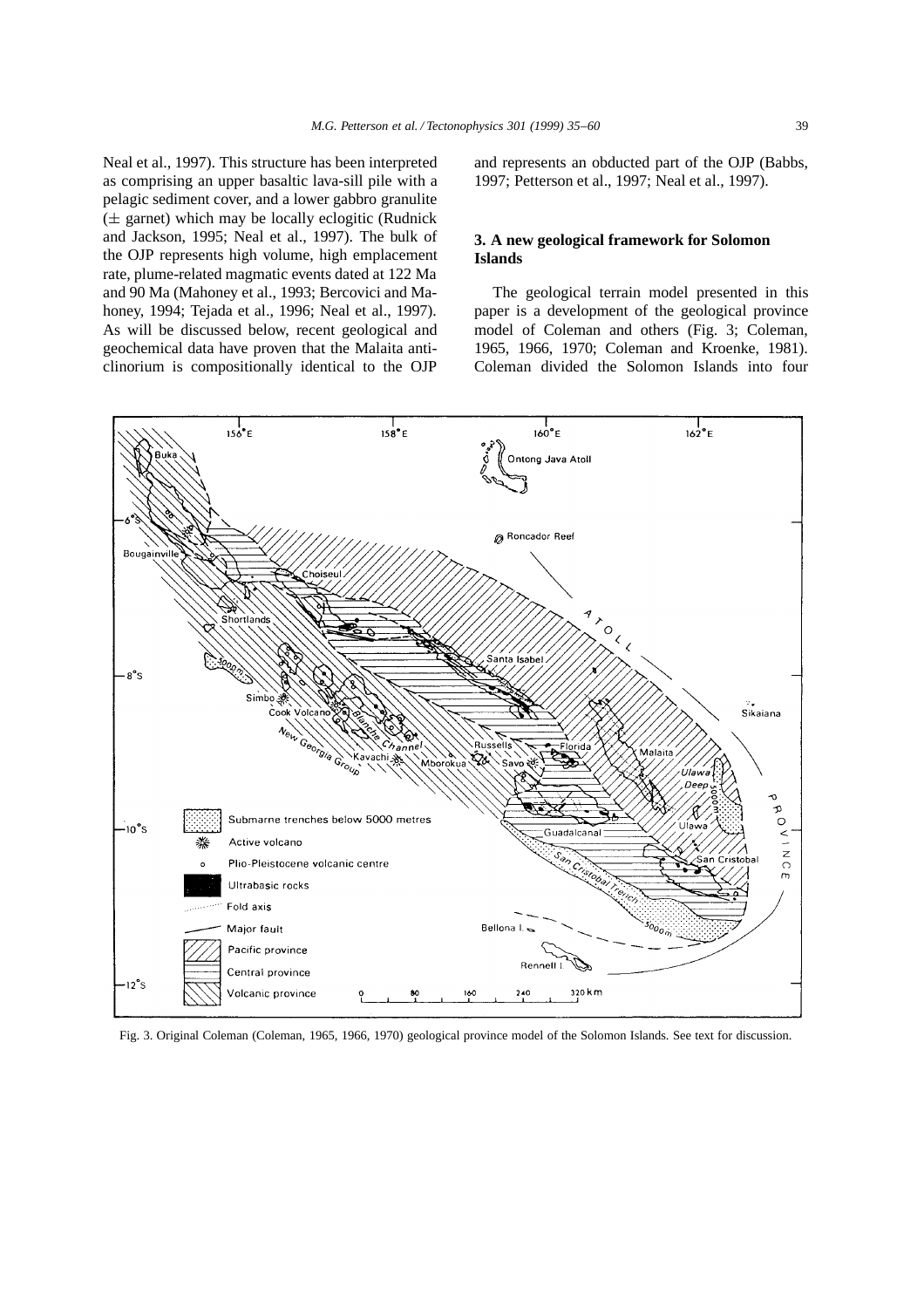Neal et al., 1997). This structure has been interpreted as comprising an upper basaltic lava-sill pile with a pelagic sediment cover, and a lower gabbro granulite  $(\pm$  garnet) which may be locally eclogitic (Rudnick and Jackson, 1995; Neal et al., 1997). The bulk of the OJP represents high volume, high emplacement rate, plume-related magmatic events dated at 122 Ma and 90 Ma (Mahoney et al., 1993; Bercovici and Mahoney, 1994; Tejada et al., 1996; Neal et al., 1997). As will be discussed below, recent geological and geochemical data have proven that the Malaita anticlinorium is compositionally identical to the OJP and represents an obducted part of the OJP (Babbs, 1997; Petterson et al., 1997; Neal et al., 1997).

## **3. A new geological framework for Solomon Islands**

The geological terrain model presented in this paper is a development of the geological province model of Coleman and others (Fig. 3; Coleman, 1965, 1966, 1970; Coleman and Kroenke, 1981). Coleman divided the Solomon Islands into four



Fig. 3. Original Coleman (Coleman, 1965, 1966, 1970) geological province model of the Solomon Islands. See text for discussion.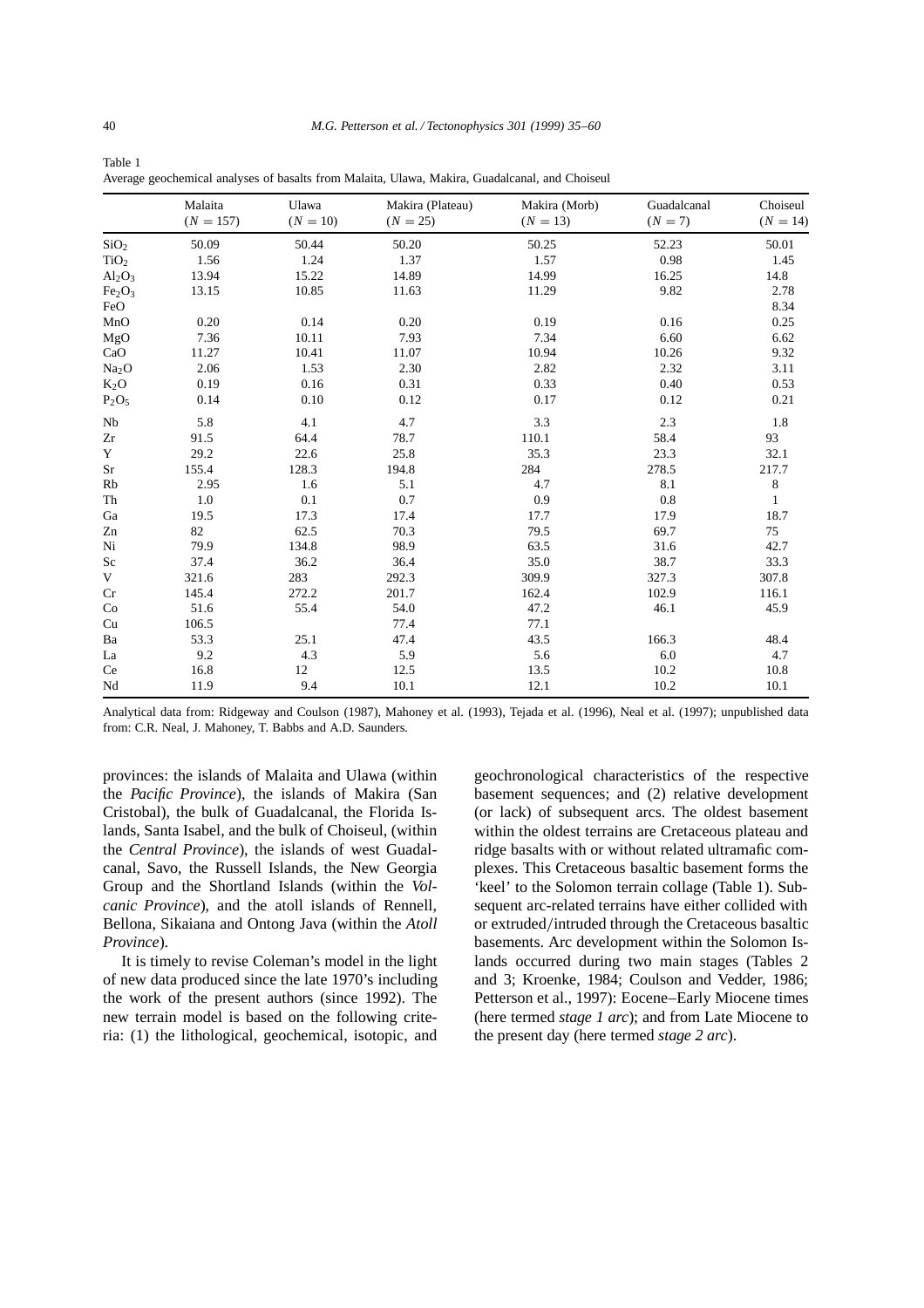|                                | Malaita     | Ulawa<br>$(N = 10)$ | Makira (Plateau) | Makira (Morb) | Guadalcanal | Choiseul<br>$(N = 14)$ |
|--------------------------------|-------------|---------------------|------------------|---------------|-------------|------------------------|
|                                | $(N = 157)$ |                     | $(N = 25)$       | $(N = 13)$    | $(N = 7)$   |                        |
| SiO <sub>2</sub>               | 50.09       | 50.44               | 50.20            | 50.25         | 52.23       | 50.01                  |
| TiO <sub>2</sub>               | 1.56        | 1.24                | 1.37             | 1.57          | 0.98        | 1.45                   |
| $Al_2O_3$                      | 13.94       | 15.22               | 14.89            | 14.99         | 16.25       | 14.8                   |
| Fe <sub>2</sub> O <sub>3</sub> | 13.15       | 10.85               | 11.63            | 11.29         | 9.82        | 2.78                   |
| FeO                            |             |                     |                  |               |             | 8.34                   |
| MnO                            | 0.20        | 0.14                | 0.20             | 0.19          | 0.16        | 0.25                   |
| MgO                            | 7.36        | 10.11               | 7.93             | 7.34          | 6.60        | 6.62                   |
| CaO                            | 11.27       | 10.41               | 11.07            | 10.94         | 10.26       | 9.32                   |
| Na <sub>2</sub> O              | 2.06        | 1.53                | 2.30             | 2.82          | 2.32        | 3.11                   |
| $K_2O$                         | 0.19        | 0.16                | 0.31             | 0.33          | 0.40        | 0.53                   |
| $P_2O_5$                       | 0.14        | 0.10                | 0.12             | 0.17          | 0.12        | 0.21                   |
| Nb                             | 5.8         | 4.1                 | 4.7              | 3.3           | 2.3         | 1.8                    |
| Zr                             | 91.5        | 64.4                | 78.7             | 110.1         | 58.4        | 93                     |
| Y                              | 29.2        | 22.6                | 25.8             | 35.3          | 23.3        | 32.1                   |
| Sr                             | 155.4       | 128.3               | 194.8            | 284           | 278.5       | 217.7                  |
| Rb                             | 2.95        | 1.6                 | 5.1              | 4.7           | 8.1         | 8                      |
| Th                             | 1.0         | 0.1                 | 0.7              | 0.9           | 0.8         | $\mathbf{1}$           |
| Ga                             | 19.5        | 17.3                | 17.4             | 17.7          | 17.9        | 18.7                   |
| Zn                             | 82          | 62.5                | 70.3             | 79.5          | 69.7        | 75                     |
| Ni                             | 79.9        | 134.8               | 98.9             | 63.5          | 31.6        | 42.7                   |
| Sc                             | 37.4        | 36.2                | 36.4             | 35.0          | 38.7        | 33.3                   |
| V                              | 321.6       | 283                 | 292.3            | 309.9         | 327.3       | 307.8                  |
| Cr                             | 145.4       | 272.2               | 201.7            | 162.4         | 102.9       | 116.1                  |
| Co                             | 51.6        | 55.4                | 54.0             | 47.2          | 46.1        | 45.9                   |
| Cu                             | 106.5       |                     | 77.4             | 77.1          |             |                        |
| Ba                             | 53.3        | 25.1                | 47.4             | 43.5          | 166.3       | 48.4                   |
| La                             | 9.2         | 4.3                 | 5.9              | 5.6           | 6.0         | 4.7                    |
| Ce                             | 16.8        | 12                  | 12.5             | 13.5          | 10.2        | 10.8                   |
| Nd                             | 11.9        | 9.4                 | 10.1             | 12.1          | 10.2        | 10.1                   |

Table 1 Average geochemical analyses of basalts from Malaita, Ulawa, Makira, Guadalcanal, and Choiseul

Analytical data from: Ridgeway and Coulson (1987), Mahoney et al. (1993), Tejada et al. (1996), Neal et al. (1997); unpublished data from: C.R. Neal, J. Mahoney, T. Babbs and A.D. Saunders.

provinces: the islands of Malaita and Ulawa (within the *Pacific Province*), the islands of Makira (San Cristobal), the bulk of Guadalcanal, the Florida Islands, Santa Isabel, and the bulk of Choiseul, (within the *Central Province*), the islands of west Guadalcanal, Savo, the Russell Islands, the New Georgia Group and the Shortland Islands (within the *Volcanic Province*), and the atoll islands of Rennell, Bellona, Sikaiana and Ontong Java (within the *Atoll Province*).

It is timely to revise Coleman's model in the light of new data produced since the late 1970's including the work of the present authors (since 1992). The new terrain model is based on the following criteria: (1) the lithological, geochemical, isotopic, and

geochronological characteristics of the respective basement sequences; and (2) relative development (or lack) of subsequent arcs. The oldest basement within the oldest terrains are Cretaceous plateau and ridge basalts with or without related ultramafic complexes. This Cretaceous basaltic basement forms the 'keel' to the Solomon terrain collage (Table 1). Subsequent arc-related terrains have either collided with or extruded/intruded through the Cretaceous basaltic basements. Arc development within the Solomon Islands occurred during two main stages (Tables 2 and 3; Kroenke, 1984; Coulson and Vedder, 1986; Petterson et al., 1997): Eocene–Early Miocene times (here termed *stage 1 arc*); and from Late Miocene to the present day (here termed *stage 2 arc*).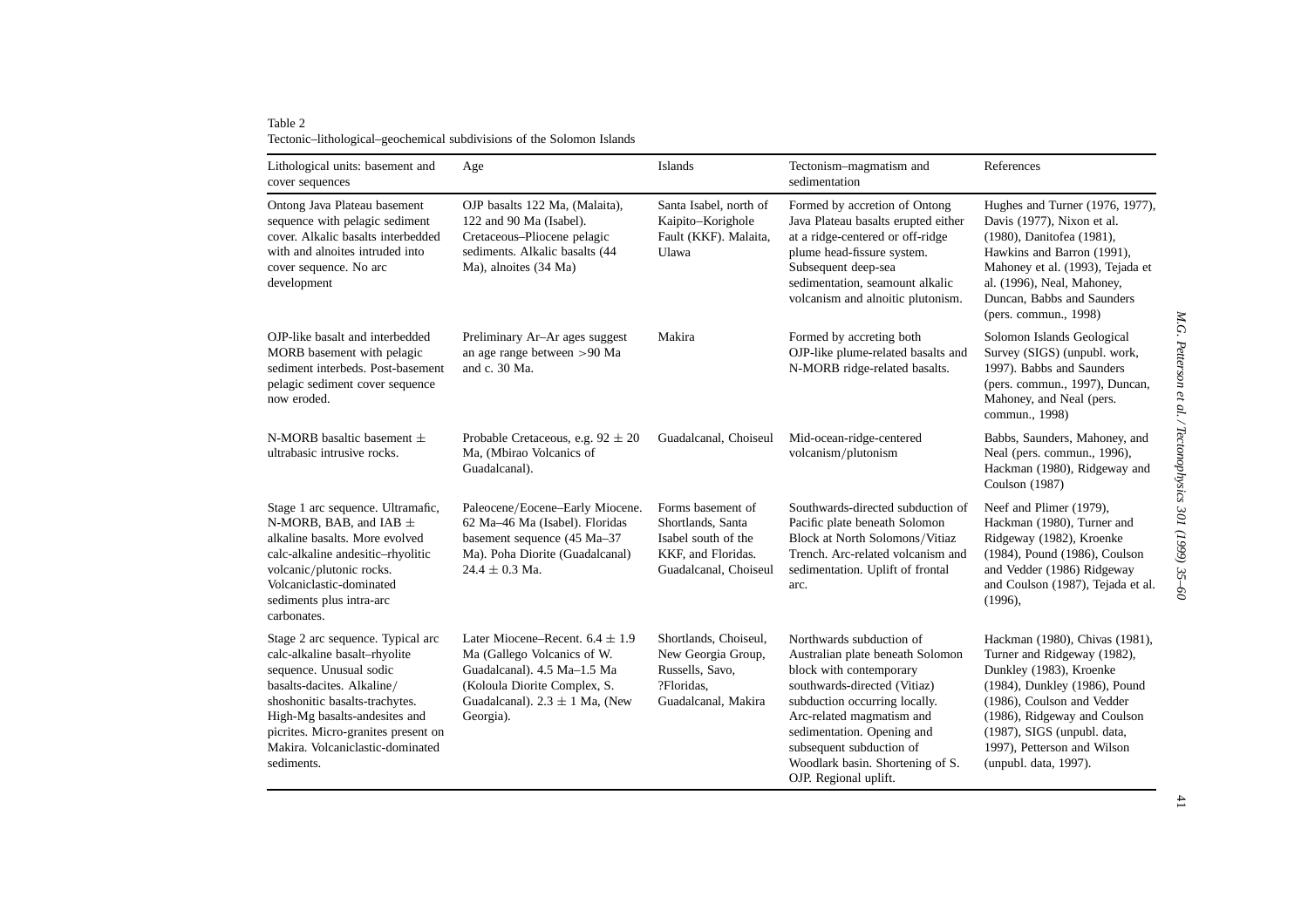Table 2 Tectonic–lithological–geochemical subdivisions of the Solomon Islands

| Lithological units: basement and<br>cover sequences                                                                                                                                                                                                                                     | Age                                                                                                                                                                                  | <b>Islands</b>                                                                                               | Tectonism-magmatism and<br>sedimentation                                                                                                                                                                                                                                                                     | References                                                                                                                                                                                                                                                                     |
|-----------------------------------------------------------------------------------------------------------------------------------------------------------------------------------------------------------------------------------------------------------------------------------------|--------------------------------------------------------------------------------------------------------------------------------------------------------------------------------------|--------------------------------------------------------------------------------------------------------------|--------------------------------------------------------------------------------------------------------------------------------------------------------------------------------------------------------------------------------------------------------------------------------------------------------------|--------------------------------------------------------------------------------------------------------------------------------------------------------------------------------------------------------------------------------------------------------------------------------|
| Ontong Java Plateau basement<br>sequence with pelagic sediment<br>cover. Alkalic basalts interbedded<br>with and alnoites intruded into<br>cover sequence. No arc<br>development                                                                                                        | OJP basalts 122 Ma, (Malaita),<br>122 and 90 Ma (Isabel).<br>Cretaceous-Pliocene pelagic<br>sediments. Alkalic basalts (44<br>Ma), alnoites (34 Ma)                                  | Santa Isabel, north of<br>Kaipito-Korighole<br>Fault (KKF). Malaita,<br>Ulawa                                | Formed by accretion of Ontong<br>Java Plateau basalts erupted either<br>at a ridge-centered or off-ridge<br>plume head-fissure system.<br>Subsequent deep-sea<br>sedimentation, seamount alkalic<br>volcanism and alnoitic plutonism.                                                                        | Hughes and Turner (1976, 1977),<br>Davis (1977), Nixon et al.<br>(1980), Danitofea (1981),<br>Hawkins and Barron (1991),<br>Mahoney et al. (1993), Tejada et<br>al. (1996), Neal, Mahoney,<br>Duncan, Babbs and Saunders<br>(pers. commun., 1998)                              |
| OJP-like basalt and interbedded<br>MORB basement with pelagic<br>sediment interbeds. Post-basement<br>pelagic sediment cover sequence<br>now eroded.                                                                                                                                    | Preliminary Ar-Ar ages suggest<br>an age range between >90 Ma<br>and c. 30 Ma.                                                                                                       | Makira                                                                                                       | Formed by accreting both<br>OJP-like plume-related basalts and<br>N-MORB ridge-related basalts.                                                                                                                                                                                                              | Solomon Islands Geological<br>Survey (SIGS) (unpubl. work,<br>1997). Babbs and Saunders<br>(pers. commun., 1997), Duncan,<br>Mahoney, and Neal (pers.<br>commun., 1998)                                                                                                        |
| N-MORB basaltic basement $\pm$<br>ultrabasic intrusive rocks.                                                                                                                                                                                                                           | Probable Cretaceous, e.g. $92 \pm 20$<br>Ma, (Mbirao Volcanics of<br>Guadalcanal).                                                                                                   | Guadalcanal, Choiseul                                                                                        | Mid-ocean-ridge-centered<br>volcanism/plutonism                                                                                                                                                                                                                                                              | Babbs, Saunders, Mahoney, and<br>Neal (pers. commun., 1996),<br>Hackman (1980), Ridgeway and<br>Coulson (1987)                                                                                                                                                                 |
| Stage 1 arc sequence. Ultramafic,<br>N-MORB, BAB, and IAB ±<br>alkaline basalts. More evolved<br>calc-alkaline andesitic-rhyolitic<br>volcanic/plutonic rocks.<br>Volcaniclastic-dominated<br>sediments plus intra-arc<br>carbonates.                                                   | Paleocene/Eocene-Early Miocene.<br>62 Ma-46 Ma (Isabel). Floridas<br>basement sequence (45 Ma-37<br>Ma). Poha Diorite (Guadalcanal)<br>$24.4 \pm 0.3$ Ma.                            | Forms basement of<br>Shortlands, Santa<br>Isabel south of the<br>KKF, and Floridas.<br>Guadalcanal, Choiseul | Southwards-directed subduction of<br>Pacific plate beneath Solomon<br>Block at North Solomons/Vitiaz<br>Trench. Arc-related volcanism and<br>sedimentation. Uplift of frontal<br>arc.                                                                                                                        | Neef and Plimer (1979),<br>Hackman (1980), Turner and<br>Ridgeway (1982), Kroenke<br>(1984), Pound (1986), Coulson<br>and Vedder (1986) Ridgeway<br>and Coulson (1987), Tejada et al.<br>(1996),                                                                               |
| Stage 2 arc sequence. Typical arc<br>calc-alkaline basalt-rhyolite<br>sequence. Unusual sodic<br>basalts-dacites. Alkaline/<br>shoshonitic basalts-trachytes.<br>High-Mg basalts-andesites and<br>picrites. Micro-granites present on<br>Makira. Volcaniclastic-dominated<br>sediments. | Later Miocene–Recent. $6.4 \pm 1.9$<br>Ma (Gallego Volcanics of W.<br>Guadalcanal). 4.5 Ma-1.5 Ma<br>(Koloula Diorite Complex, S.<br>Guadalcanal). $2.3 \pm 1$ Ma, (New<br>Georgia). | Shortlands, Choiseul,<br>New Georgia Group,<br>Russells, Savo,<br>?Floridas,<br>Guadalcanal, Makira          | Northwards subduction of<br>Australian plate beneath Solomon<br>block with contemporary<br>southwards-directed (Vitiaz)<br>subduction occurring locally.<br>Arc-related magmatism and<br>sedimentation. Opening and<br>subsequent subduction of<br>Woodlark basin. Shortening of S.<br>OJP. Regional uplift. | Hackman (1980), Chivas (1981),<br>Turner and Ridgeway (1982),<br>Dunkley (1983), Kroenke<br>(1984), Dunkley (1986), Pound<br>(1986), Coulson and Vedder<br>(1986), Ridgeway and Coulson<br>(1987), SIGS (unpubl. data,<br>1997), Petterson and Wilson<br>(unpubl. data, 1997). |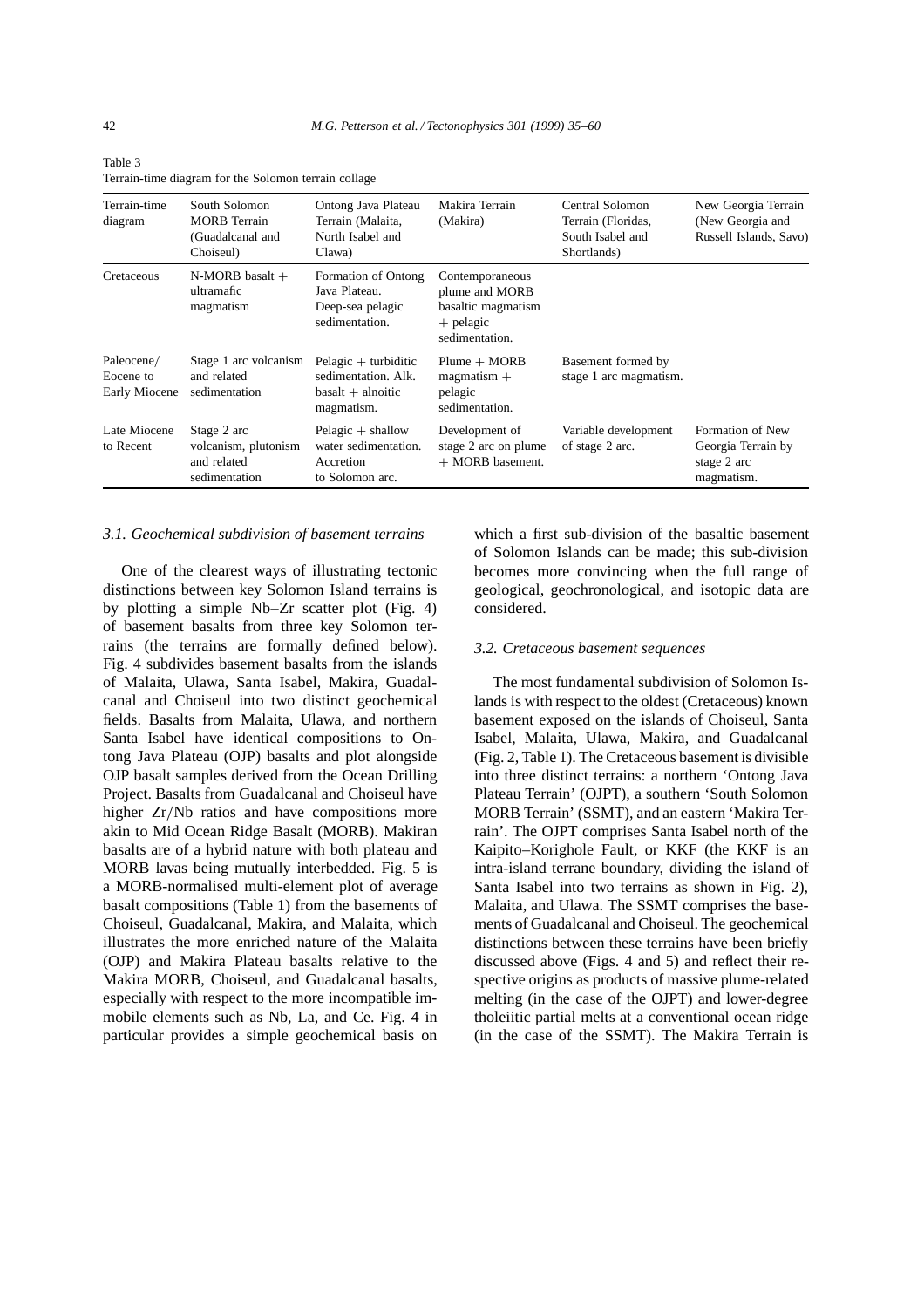| Terrain-time<br>diagram                  | South Solomon<br><b>MORB</b> Terrain<br>(Guadalcanal and<br>Choiseul) | Ontong Java Plateau<br>Terrain (Malaita,<br>North Isabel and<br>Ulawa)             | Makira Terrain<br>(Makira)                                                               | Central Solomon<br>Terrain (Floridas,<br>South Isabel and<br>Shortlands) | New Georgia Terrain<br>(New Georgia and<br>Russell Islands, Savo)   |
|------------------------------------------|-----------------------------------------------------------------------|------------------------------------------------------------------------------------|------------------------------------------------------------------------------------------|--------------------------------------------------------------------------|---------------------------------------------------------------------|
| Cretaceous                               | $N-MORB$ basalt $+$<br>ultramafic<br>magmatism                        | Formation of Ontong<br>Java Plateau.<br>Deep-sea pelagic<br>sedimentation.         | Contemporaneous<br>plume and MORB<br>basaltic magmatism<br>$+$ pelagic<br>sedimentation. |                                                                          |                                                                     |
| Paleocene/<br>Eocene to<br>Early Miocene | Stage 1 arc volcanism<br>and related<br>sedimentation                 | Pelagic $+$ turbiditic<br>sedimentation. Alk.<br>$basalt + alnoitic$<br>magmatism. | $Plume + MORB$<br>$magnatism +$<br>pelagic<br>sedimentation.                             | Basement formed by<br>stage 1 arc magmatism.                             |                                                                     |
| Late Miocene<br>to Recent                | Stage 2 arc<br>volcanism, plutonism<br>and related<br>sedimentation   | Pelagic $+$ shallow<br>water sedimentation.<br>Accretion<br>to Solomon arc.        | Development of<br>stage 2 arc on plume<br>$+$ MORB basement.                             | Variable development<br>of stage 2 arc.                                  | Formation of New<br>Georgia Terrain by<br>stage 2 arc<br>magmatism. |

Table 3 Terrain-time diagram for the Solomon terrain collage

#### *3.1. Geochemical subdivision of basement terrains*

One of the clearest ways of illustrating tectonic distinctions between key Solomon Island terrains is by plotting a simple Nb–Zr scatter plot (Fig. 4) of basement basalts from three key Solomon terrains (the terrains are formally defined below). Fig. 4 subdivides basement basalts from the islands of Malaita, Ulawa, Santa Isabel, Makira, Guadalcanal and Choiseul into two distinct geochemical fields. Basalts from Malaita, Ulawa, and northern Santa Isabel have identical compositions to Ontong Java Plateau (OJP) basalts and plot alongside OJP basalt samples derived from the Ocean Drilling Project. Basalts from Guadalcanal and Choiseul have higher  $Zr/Nb$  ratios and have compositions more akin to Mid Ocean Ridge Basalt (MORB). Makiran basalts are of a hybrid nature with both plateau and MORB lavas being mutually interbedded. Fig. 5 is a MORB-normalised multi-element plot of average basalt compositions (Table 1) from the basements of Choiseul, Guadalcanal, Makira, and Malaita, which illustrates the more enriched nature of the Malaita (OJP) and Makira Plateau basalts relative to the Makira MORB, Choiseul, and Guadalcanal basalts, especially with respect to the more incompatible immobile elements such as Nb, La, and Ce. Fig. 4 in particular provides a simple geochemical basis on

which a first sub-division of the basaltic basement of Solomon Islands can be made; this sub-division becomes more convincing when the full range of geological, geochronological, and isotopic data are considered.

#### *3.2. Cretaceous basement sequences*

The most fundamental subdivision of Solomon Islands is with respect to the oldest (Cretaceous) known basement exposed on the islands of Choiseul, Santa Isabel, Malaita, Ulawa, Makira, and Guadalcanal (Fig. 2, Table 1). The Cretaceous basement is divisible into three distinct terrains: a northern 'Ontong Java Plateau Terrain' (OJPT), a southern 'South Solomon MORB Terrain' (SSMT), and an eastern 'Makira Terrain'. The OJPT comprises Santa Isabel north of the Kaipito–Korighole Fault, or KKF (the KKF is an intra-island terrane boundary, dividing the island of Santa Isabel into two terrains as shown in Fig. 2), Malaita, and Ulawa. The SSMT comprises the basements of Guadalcanal and Choiseul. The geochemical distinctions between these terrains have been briefly discussed above (Figs. 4 and 5) and reflect their respective origins as products of massive plume-related melting (in the case of the OJPT) and lower-degree tholeiitic partial melts at a conventional ocean ridge (in the case of the SSMT). The Makira Terrain is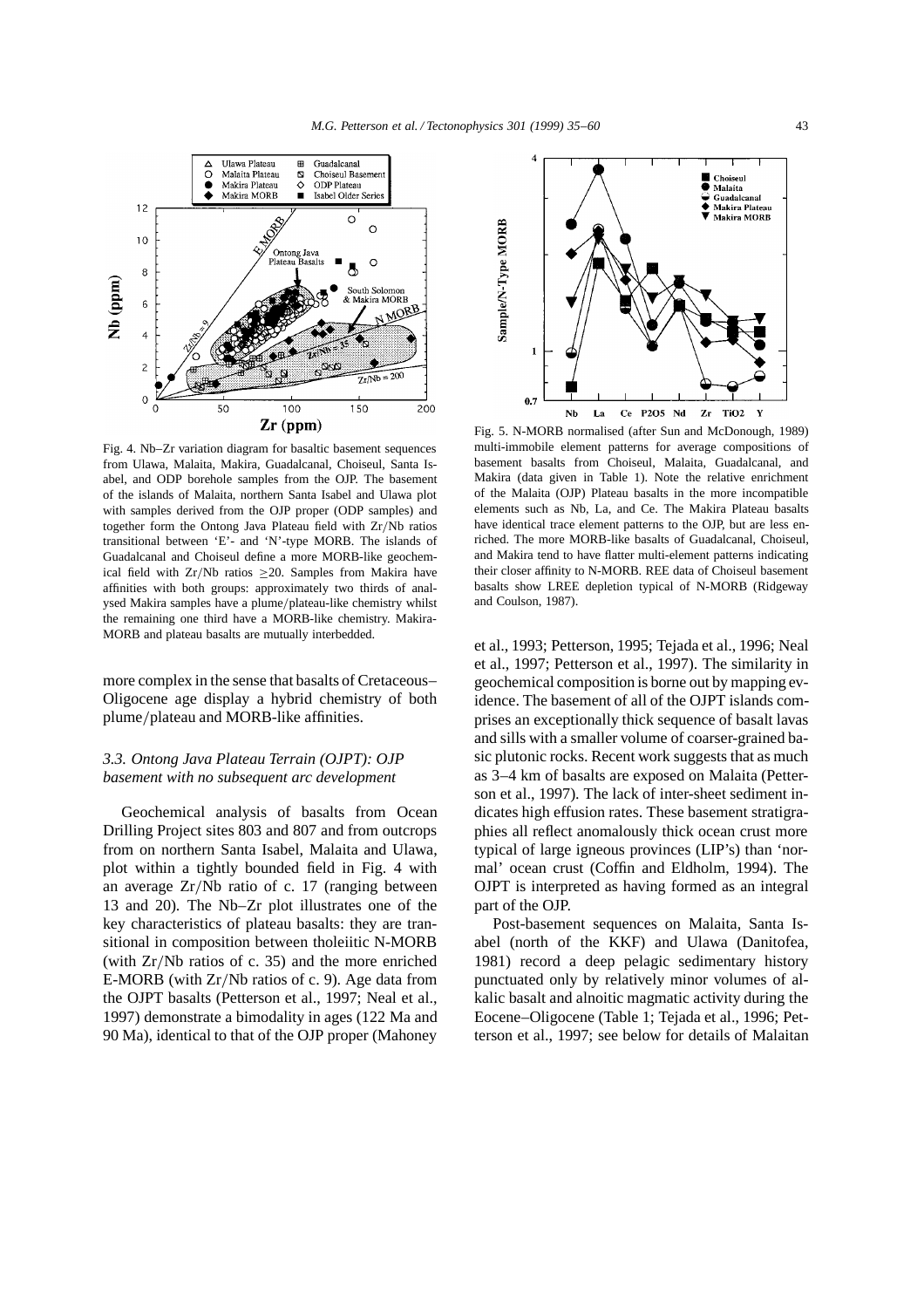

Fig. 4. Nb–Zr variation diagram for basaltic basement sequences from Ulawa, Malaita, Makira, Guadalcanal, Choiseul, Santa Isabel, and ODP borehole samples from the OJP. The basement of the islands of Malaita, northern Santa Isabel and Ulawa plot with samples derived from the OJP proper (ODP samples) and together form the Ontong Java Plateau field with Zr/Nb ratios transitional between 'E'- and 'N'-type MORB. The islands of Guadalcanal and Choiseul define a more MORB-like geochemical field with Zr/Nb ratios  $\geq$ 20. Samples from Makira have affinities with both groups: approximately two thirds of analysed Makira samples have a plume/plateau-like chemistry whilst the remaining one third have a MORB-like chemistry. Makira-MORB and plateau basalts are mutually interbedded.

more complex in the sense that basalts of Cretaceous– Oligocene age display a hybrid chemistry of both plume/plateau and MORB-like affinities.

# *3.3. Ontong Java Plateau Terrain (OJPT): OJP basement with no subsequent arc development*

Geochemical analysis of basalts from Ocean Drilling Project sites 803 and 807 and from outcrops from on northern Santa Isabel, Malaita and Ulawa, plot within a tightly bounded field in Fig. 4 with an average  $Zr/Nb$  ratio of c. 17 (ranging between 13 and 20). The Nb–Zr plot illustrates one of the key characteristics of plateau basalts: they are transitional in composition between tholeiitic N-MORB (with  $Zr/Nb$  ratios of c. 35) and the more enriched E-MORB (with  $Zr/Nb$  ratios of c. 9). Age data from the OJPT basalts (Petterson et al., 1997; Neal et al., 1997) demonstrate a bimodality in ages (122 Ma and 90 Ma), identical to that of the OJP proper (Mahoney



Fig. 5. N-MORB normalised (after Sun and McDonough, 1989) multi-immobile element patterns for average compositions of basement basalts from Choiseul, Malaita, Guadalcanal, and Makira (data given in Table 1). Note the relative enrichment of the Malaita (OJP) Plateau basalts in the more incompatible elements such as Nb, La, and Ce. The Makira Plateau basalts have identical trace element patterns to the OJP, but are less enriched. The more MORB-like basalts of Guadalcanal, Choiseul, and Makira tend to have flatter multi-element patterns indicating their closer affinity to N-MORB. REE data of Choiseul basement basalts show LREE depletion typical of N-MORB (Ridgeway and Coulson, 1987).

et al., 1993; Petterson, 1995; Tejada et al., 1996; Neal et al., 1997; Petterson et al., 1997). The similarity in geochemical composition is borne out by mapping evidence. The basement of all of the OJPT islands comprises an exceptionally thick sequence of basalt lavas and sills with a smaller volume of coarser-grained basic plutonic rocks. Recent work suggests that as much as 3–4 km of basalts are exposed on Malaita (Petterson et al., 1997). The lack of inter-sheet sediment indicates high effusion rates. These basement stratigraphies all reflect anomalously thick ocean crust more typical of large igneous provinces (LIP's) than 'normal' ocean crust (Coffin and Eldholm, 1994). The OJPT is interpreted as having formed as an integral part of the OJP.

Post-basement sequences on Malaita, Santa Isabel (north of the KKF) and Ulawa (Danitofea, 1981) record a deep pelagic sedimentary history punctuated only by relatively minor volumes of alkalic basalt and alnoitic magmatic activity during the Eocene–Oligocene (Table 1; Tejada et al., 1996; Petterson et al., 1997; see below for details of Malaitan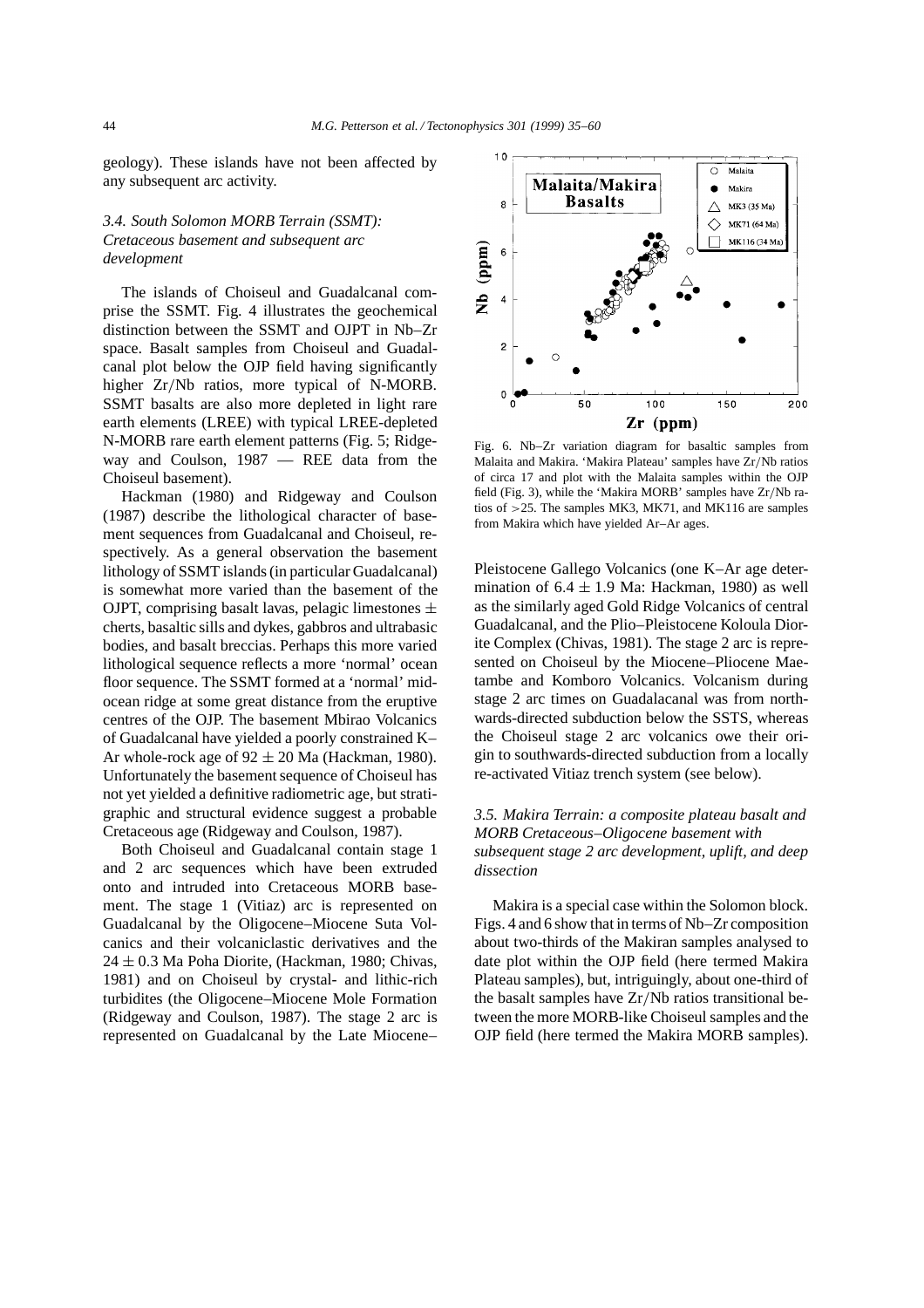geology). These islands have not been affected by any subsequent arc activity.

## *3.4. South Solomon MORB Terrain (SSMT): Cretaceous basement and subsequent arc development*

The islands of Choiseul and Guadalcanal comprise the SSMT. Fig. 4 illustrates the geochemical distinction between the SSMT and OJPT in Nb–Zr space. Basalt samples from Choiseul and Guadalcanal plot below the OJP field having significantly higher  $Zr/Nb$  ratios, more typical of N-MORB. SSMT basalts are also more depleted in light rare earth elements (LREE) with typical LREE-depleted N-MORB rare earth element patterns (Fig. 5; Ridgeway and Coulson, 1987 — REE data from the Choiseul basement).

Hackman (1980) and Ridgeway and Coulson (1987) describe the lithological character of basement sequences from Guadalcanal and Choiseul, respectively. As a general observation the basement lithology of SSMT islands (in particular Guadalcanal) is somewhat more varied than the basement of the OJPT, comprising basalt lavas, pelagic limestones  $\pm$ cherts, basaltic sills and dykes, gabbros and ultrabasic bodies, and basalt breccias. Perhaps this more varied lithological sequence reflects a more 'normal' ocean floor sequence. The SSMT formed at a 'normal' midocean ridge at some great distance from the eruptive centres of the OJP. The basement Mbirao Volcanics of Guadalcanal have yielded a poorly constrained K– Ar whole-rock age of  $92 \pm 20$  Ma (Hackman, 1980). Unfortunately the basement sequence of Choiseul has not yet yielded a definitive radiometric age, but stratigraphic and structural evidence suggest a probable Cretaceous age (Ridgeway and Coulson, 1987).

Both Choiseul and Guadalcanal contain stage 1 and 2 arc sequences which have been extruded onto and intruded into Cretaceous MORB basement. The stage 1 (Vitiaz) arc is represented on Guadalcanal by the Oligocene–Miocene Suta Volcanics and their volcaniclastic derivatives and the  $24 \pm 0.3$  Ma Poha Diorite, (Hackman, 1980; Chivas, 1981) and on Choiseul by crystal- and lithic-rich turbidites (the Oligocene–Miocene Mole Formation (Ridgeway and Coulson, 1987). The stage 2 arc is represented on Guadalcanal by the Late Miocene–



Fig. 6. Nb–Zr variation diagram for basaltic samples from Malaita and Makira. 'Makira Plateau' samples have Zr/Nb ratios of circa 17 and plot with the Malaita samples within the OJP field (Fig. 3), while the 'Makira MORB' samples have  $Zr/Nb$  ratios of >25. The samples MK3, MK71, and MK116 are samples from Makira which have yielded Ar–Ar ages.

Pleistocene Gallego Volcanics (one K–Ar age determination of  $6.4 \pm 1.9$  Ma: Hackman, 1980) as well as the similarly aged Gold Ridge Volcanics of central Guadalcanal, and the Plio–Pleistocene Koloula Diorite Complex (Chivas, 1981). The stage 2 arc is represented on Choiseul by the Miocene–Pliocene Maetambe and Komboro Volcanics. Volcanism during stage 2 arc times on Guadalacanal was from northwards-directed subduction below the SSTS, whereas the Choiseul stage 2 arc volcanics owe their origin to southwards-directed subduction from a locally re-activated Vitiaz trench system (see below).

# *3.5. Makira Terrain: a composite plateau basalt and MORB Cretaceous–Oligocene basement with subsequent stage 2 arc development, uplift, and deep dissection*

Makira is a special case within the Solomon block. Figs. 4 and 6 show that in terms of Nb–Zr composition about two-thirds of the Makiran samples analysed to date plot within the OJP field (here termed Makira Plateau samples), but, intriguingly, about one-third of the basalt samples have  $Zr/Nb$  ratios transitional between the more MORB-like Choiseul samples and the OJP field (here termed the Makira MORB samples).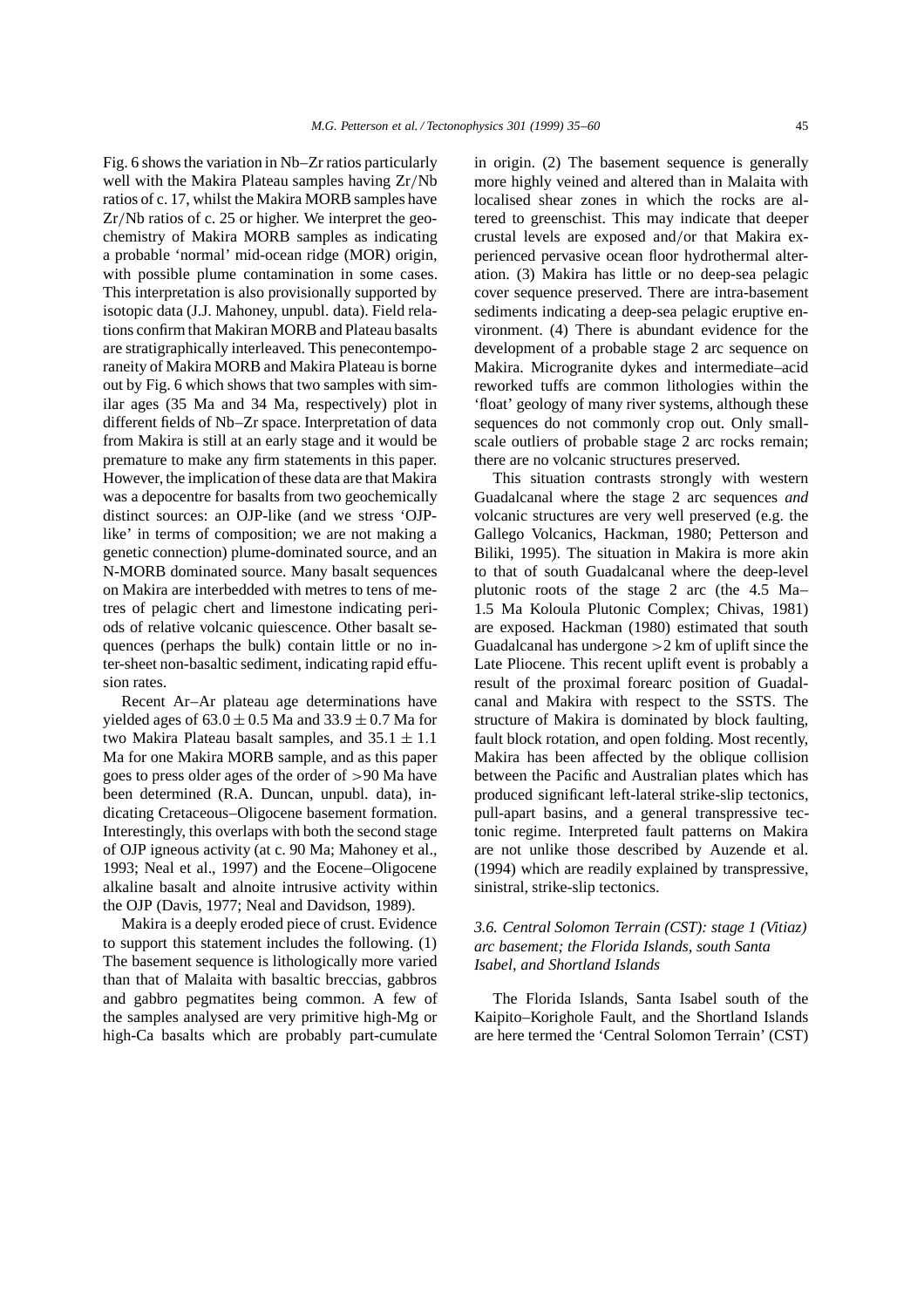Fig. 6 shows the variation in Nb–Zr ratios particularly well with the Makira Plateau samples having  $Zr/Nb$ ratios of c. 17, whilst the Makira MORB samples have  $Zr/Nb$  ratios of c. 25 or higher. We interpret the geochemistry of Makira MORB samples as indicating a probable 'normal' mid-ocean ridge (MOR) origin, with possible plume contamination in some cases. This interpretation is also provisionally supported by isotopic data (J.J. Mahoney, unpubl. data). Field relations confirm that Makiran MORB and Plateau basalts are stratigraphically interleaved. This penecontemporaneity of Makira MORB and Makira Plateau is borne out by Fig. 6 which shows that two samples with similar ages (35 Ma and 34 Ma, respectively) plot in different fields of Nb–Zr space. Interpretation of data from Makira is still at an early stage and it would be premature to make any firm statements in this paper. However, the implication of these data are that Makira was a depocentre for basalts from two geochemically distinct sources: an OJP-like (and we stress 'OJPlike' in terms of composition; we are not making a genetic connection) plume-dominated source, and an N-MORB dominated source. Many basalt sequences on Makira are interbedded with metres to tens of metres of pelagic chert and limestone indicating periods of relative volcanic quiescence. Other basalt sequences (perhaps the bulk) contain little or no inter-sheet non-basaltic sediment, indicating rapid effusion rates.

Recent Ar–Ar plateau age determinations have yielded ages of  $63.0 \pm 0.5$  Ma and  $33.9 \pm 0.7$  Ma for two Makira Plateau basalt samples, and  $35.1 \pm 1.1$ Ma for one Makira MORB sample, and as this paper goes to press older ages of the order of >90 Ma have been determined (R.A. Duncan, unpubl. data), indicating Cretaceous–Oligocene basement formation. Interestingly, this overlaps with both the second stage of OJP igneous activity (at c. 90 Ma; Mahoney et al., 1993; Neal et al., 1997) and the Eocene–Oligocene alkaline basalt and alnoite intrusive activity within the OJP (Davis, 1977; Neal and Davidson, 1989).

Makira is a deeply eroded piece of crust. Evidence to support this statement includes the following. (1) The basement sequence is lithologically more varied than that of Malaita with basaltic breccias, gabbros and gabbro pegmatites being common. A few of the samples analysed are very primitive high-Mg or high-Ca basalts which are probably part-cumulate in origin. (2) The basement sequence is generally more highly veined and altered than in Malaita with localised shear zones in which the rocks are altered to greenschist. This may indicate that deeper crustal levels are exposed and/or that Makira experienced pervasive ocean floor hydrothermal alteration. (3) Makira has little or no deep-sea pelagic cover sequence preserved. There are intra-basement sediments indicating a deep-sea pelagic eruptive environment. (4) There is abundant evidence for the development of a probable stage 2 arc sequence on Makira. Microgranite dykes and intermediate–acid reworked tuffs are common lithologies within the 'float' geology of many river systems, although these sequences do not commonly crop out. Only smallscale outliers of probable stage 2 arc rocks remain; there are no volcanic structures preserved.

This situation contrasts strongly with western Guadalcanal where the stage 2 arc sequences *and* volcanic structures are very well preserved (e.g. the Gallego Volcanics, Hackman, 1980; Petterson and Biliki, 1995). The situation in Makira is more akin to that of south Guadalcanal where the deep-level plutonic roots of the stage 2 arc (the 4.5 Ma– 1.5 Ma Koloula Plutonic Complex; Chivas, 1981) are exposed. Hackman (1980) estimated that south Guadalcanal has undergone  $>2$  km of uplift since the Late Pliocene. This recent uplift event is probably a result of the proximal forearc position of Guadalcanal and Makira with respect to the SSTS. The structure of Makira is dominated by block faulting, fault block rotation, and open folding. Most recently, Makira has been affected by the oblique collision between the Pacific and Australian plates which has produced significant left-lateral strike-slip tectonics, pull-apart basins, and a general transpressive tectonic regime. Interpreted fault patterns on Makira are not unlike those described by Auzende et al. (1994) which are readily explained by transpressive, sinistral, strike-slip tectonics.

## *3.6. Central Solomon Terrain (CST): stage 1 (Vitiaz) arc basement; the Florida Islands, south Santa Isabel, and Shortland Islands*

The Florida Islands, Santa Isabel south of the Kaipito–Korighole Fault, and the Shortland Islands are here termed the 'Central Solomon Terrain' (CST)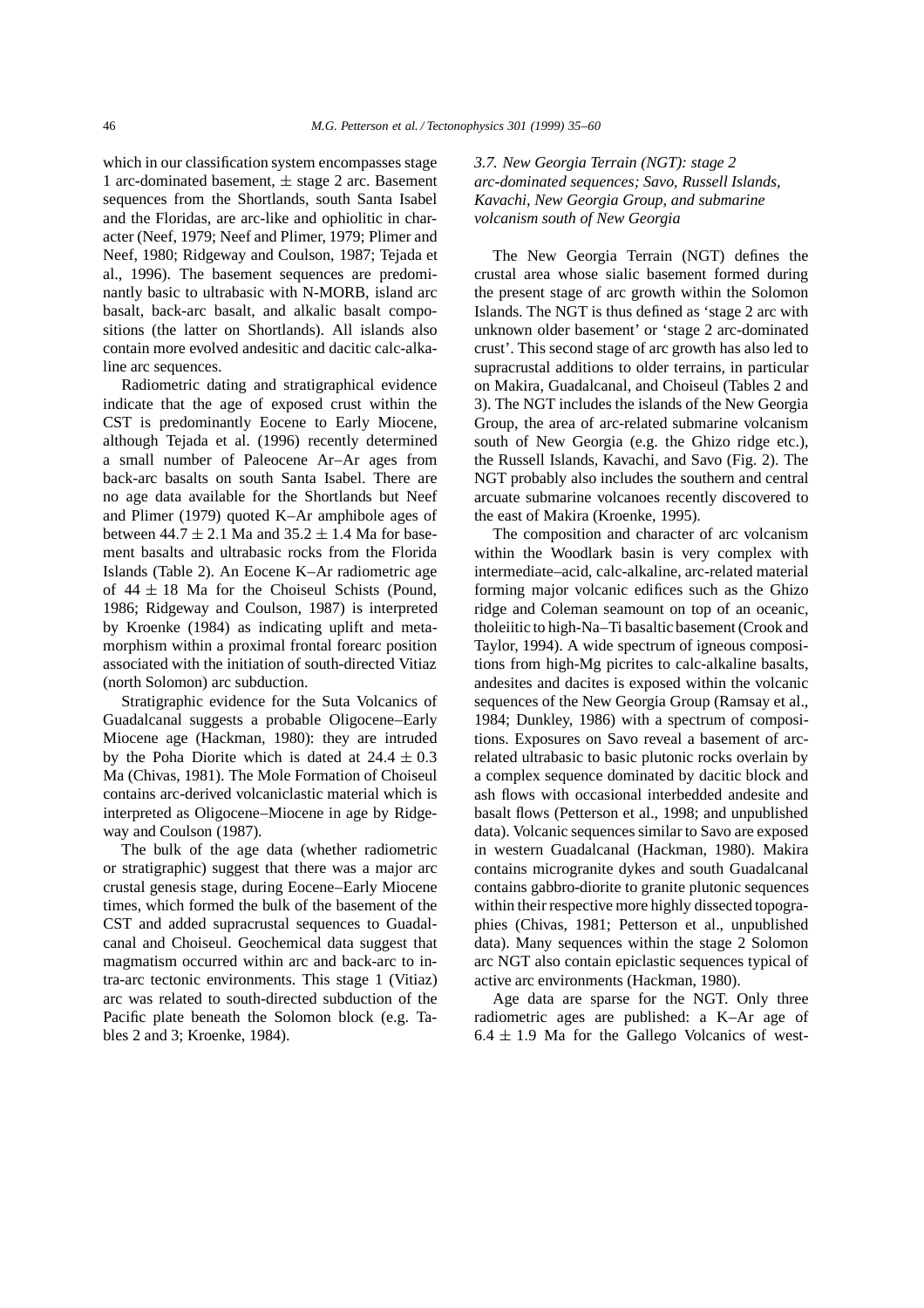which in our classification system encompasses stage 1 arc-dominated basement,  $\pm$  stage 2 arc. Basement sequences from the Shortlands, south Santa Isabel and the Floridas, are arc-like and ophiolitic in character (Neef, 1979; Neef and Plimer, 1979; Plimer and Neef, 1980; Ridgeway and Coulson, 1987; Tejada et al., 1996). The basement sequences are predominantly basic to ultrabasic with N-MORB, island arc basalt, back-arc basalt, and alkalic basalt compositions (the latter on Shortlands). All islands also contain more evolved andesitic and dacitic calc-alkaline arc sequences.

Radiometric dating and stratigraphical evidence indicate that the age of exposed crust within the CST is predominantly Eocene to Early Miocene, although Tejada et al. (1996) recently determined a small number of Paleocene Ar–Ar ages from back-arc basalts on south Santa Isabel. There are no age data available for the Shortlands but Neef and Plimer (1979) quoted K–Ar amphibole ages of between  $44.7 \pm 2.1$  Ma and  $35.2 \pm 1.4$  Ma for basement basalts and ultrabasic rocks from the Florida Islands (Table 2). An Eocene K–Ar radiometric age of  $44 \pm 18$  Ma for the Choiseul Schists (Pound, 1986; Ridgeway and Coulson, 1987) is interpreted by Kroenke (1984) as indicating uplift and metamorphism within a proximal frontal forearc position associated with the initiation of south-directed Vitiaz (north Solomon) arc subduction.

Stratigraphic evidence for the Suta Volcanics of Guadalcanal suggests a probable Oligocene–Early Miocene age (Hackman, 1980): they are intruded by the Poha Diorite which is dated at  $24.4 \pm 0.3$ Ma (Chivas, 1981). The Mole Formation of Choiseul contains arc-derived volcaniclastic material which is interpreted as Oligocene–Miocene in age by Ridgeway and Coulson (1987).

The bulk of the age data (whether radiometric or stratigraphic) suggest that there was a major arc crustal genesis stage, during Eocene–Early Miocene times, which formed the bulk of the basement of the CST and added supracrustal sequences to Guadalcanal and Choiseul. Geochemical data suggest that magmatism occurred within arc and back-arc to intra-arc tectonic environments. This stage 1 (Vitiaz) arc was related to south-directed subduction of the Pacific plate beneath the Solomon block (e.g. Tables 2 and 3; Kroenke, 1984).

*3.7. New Georgia Terrain (NGT): stage 2 arc-dominated sequences; Savo, Russell Islands, Kavachi, New Georgia Group, and submarine volcanism south of New Georgia*

The New Georgia Terrain (NGT) defines the crustal area whose sialic basement formed during the present stage of arc growth within the Solomon Islands. The NGT is thus defined as 'stage 2 arc with unknown older basement' or 'stage 2 arc-dominated crust'. This second stage of arc growth has also led to supracrustal additions to older terrains, in particular on Makira, Guadalcanal, and Choiseul (Tables 2 and 3). The NGT includes the islands of the New Georgia Group, the area of arc-related submarine volcanism south of New Georgia (e.g. the Ghizo ridge etc.), the Russell Islands, Kavachi, and Savo (Fig. 2). The NGT probably also includes the southern and central arcuate submarine volcanoes recently discovered to the east of Makira (Kroenke, 1995).

The composition and character of arc volcanism within the Woodlark basin is very complex with intermediate–acid, calc-alkaline, arc-related material forming major volcanic edifices such as the Ghizo ridge and Coleman seamount on top of an oceanic, tholeiitic to high-Na–Ti basaltic basement (Crook and Taylor, 1994). A wide spectrum of igneous compositions from high-Mg picrites to calc-alkaline basalts, andesites and dacites is exposed within the volcanic sequences of the New Georgia Group (Ramsay et al., 1984; Dunkley, 1986) with a spectrum of compositions. Exposures on Savo reveal a basement of arcrelated ultrabasic to basic plutonic rocks overlain by a complex sequence dominated by dacitic block and ash flows with occasional interbedded andesite and basalt flows (Petterson et al., 1998; and unpublished data). Volcanic sequences similar to Savo are exposed in western Guadalcanal (Hackman, 1980). Makira contains microgranite dykes and south Guadalcanal contains gabbro-diorite to granite plutonic sequences within their respective more highly dissected topographies (Chivas, 1981; Petterson et al., unpublished data). Many sequences within the stage 2 Solomon arc NGT also contain epiclastic sequences typical of active arc environments (Hackman, 1980).

Age data are sparse for the NGT. Only three radiometric ages are published: a K–Ar age of  $6.4 \pm 1.9$  Ma for the Gallego Volcanics of west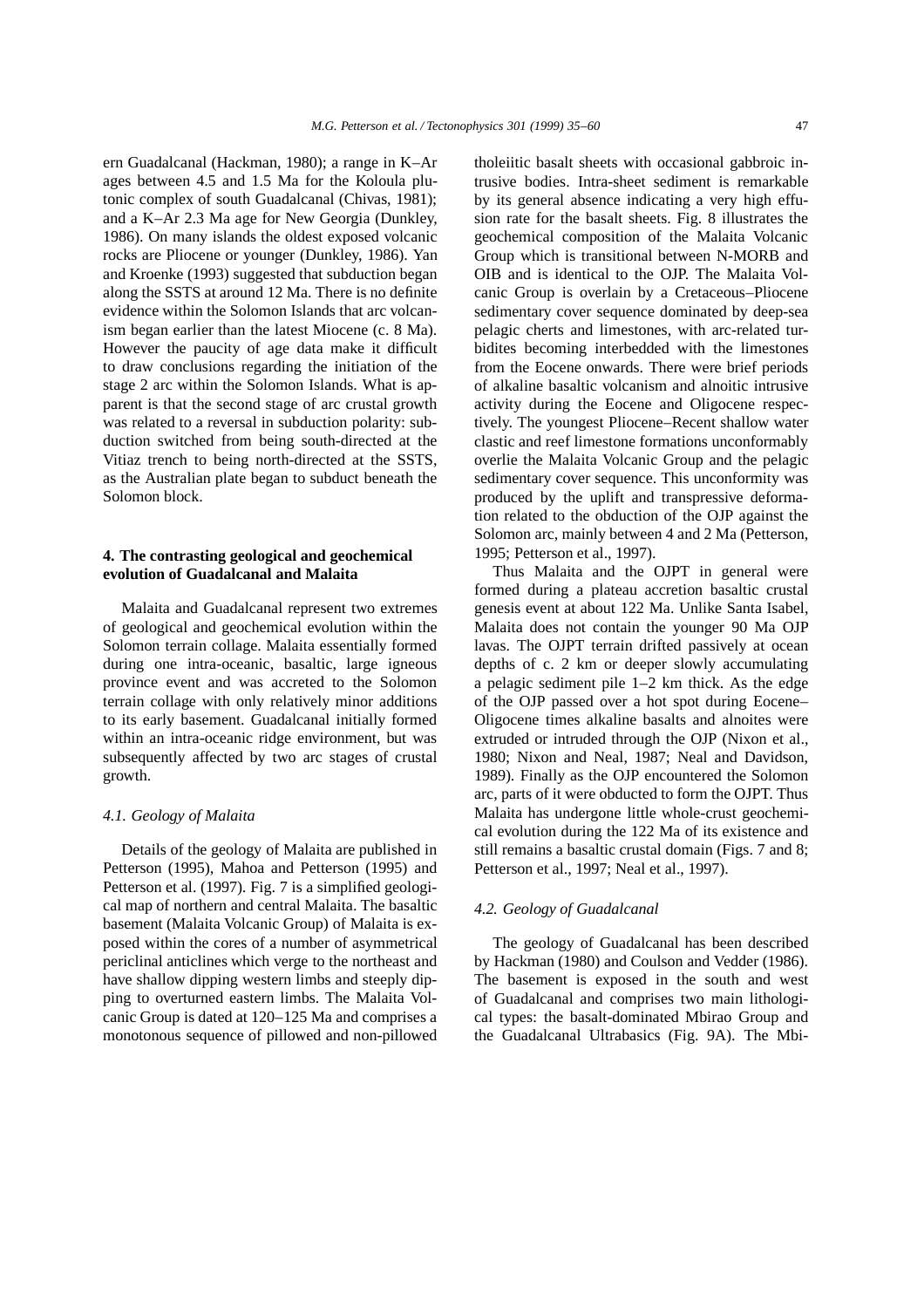ern Guadalcanal (Hackman, 1980); a range in K–Ar ages between 4.5 and 1.5 Ma for the Koloula plutonic complex of south Guadalcanal (Chivas, 1981); and a K–Ar 2.3 Ma age for New Georgia (Dunkley, 1986). On many islands the oldest exposed volcanic rocks are Pliocene or younger (Dunkley, 1986). Yan and Kroenke (1993) suggested that subduction began along the SSTS at around 12 Ma. There is no definite evidence within the Solomon Islands that arc volcanism began earlier than the latest Miocene (c. 8 Ma). However the paucity of age data make it difficult to draw conclusions regarding the initiation of the stage 2 arc within the Solomon Islands. What is apparent is that the second stage of arc crustal growth was related to a reversal in subduction polarity: subduction switched from being south-directed at the Vitiaz trench to being north-directed at the SSTS, as the Australian plate began to subduct beneath the Solomon block.

## **4. The contrasting geological and geochemical evolution of Guadalcanal and Malaita**

Malaita and Guadalcanal represent two extremes of geological and geochemical evolution within the Solomon terrain collage. Malaita essentially formed during one intra-oceanic, basaltic, large igneous province event and was accreted to the Solomon terrain collage with only relatively minor additions to its early basement. Guadalcanal initially formed within an intra-oceanic ridge environment, but was subsequently affected by two arc stages of crustal growth.

#### *4.1. Geology of Malaita*

Details of the geology of Malaita are published in Petterson (1995), Mahoa and Petterson (1995) and Petterson et al. (1997). Fig. 7 is a simplified geological map of northern and central Malaita. The basaltic basement (Malaita Volcanic Group) of Malaita is exposed within the cores of a number of asymmetrical periclinal anticlines which verge to the northeast and have shallow dipping western limbs and steeply dipping to overturned eastern limbs. The Malaita Volcanic Group is dated at 120–125 Ma and comprises a monotonous sequence of pillowed and non-pillowed tholeiitic basalt sheets with occasional gabbroic intrusive bodies. Intra-sheet sediment is remarkable by its general absence indicating a very high effusion rate for the basalt sheets. Fig. 8 illustrates the geochemical composition of the Malaita Volcanic Group which is transitional between N-MORB and OIB and is identical to the OJP. The Malaita Volcanic Group is overlain by a Cretaceous–Pliocene sedimentary cover sequence dominated by deep-sea pelagic cherts and limestones, with arc-related turbidites becoming interbedded with the limestones from the Eocene onwards. There were brief periods of alkaline basaltic volcanism and alnoitic intrusive activity during the Eocene and Oligocene respectively. The youngest Pliocene–Recent shallow water clastic and reef limestone formations unconformably overlie the Malaita Volcanic Group and the pelagic sedimentary cover sequence. This unconformity was produced by the uplift and transpressive deformation related to the obduction of the OJP against the Solomon arc, mainly between 4 and 2 Ma (Petterson, 1995; Petterson et al., 1997).

Thus Malaita and the OJPT in general were formed during a plateau accretion basaltic crustal genesis event at about 122 Ma. Unlike Santa Isabel, Malaita does not contain the younger 90 Ma OJP lavas. The OJPT terrain drifted passively at ocean depths of c. 2 km or deeper slowly accumulating a pelagic sediment pile 1–2 km thick. As the edge of the OJP passed over a hot spot during Eocene– Oligocene times alkaline basalts and alnoites were extruded or intruded through the OJP (Nixon et al., 1980; Nixon and Neal, 1987; Neal and Davidson, 1989). Finally as the OJP encountered the Solomon arc, parts of it were obducted to form the OJPT. Thus Malaita has undergone little whole-crust geochemical evolution during the 122 Ma of its existence and still remains a basaltic crustal domain (Figs. 7 and 8; Petterson et al., 1997; Neal et al., 1997).

#### *4.2. Geology of Guadalcanal*

The geology of Guadalcanal has been described by Hackman (1980) and Coulson and Vedder (1986). The basement is exposed in the south and west of Guadalcanal and comprises two main lithological types: the basalt-dominated Mbirao Group and the Guadalcanal Ultrabasics (Fig. 9A). The Mbi-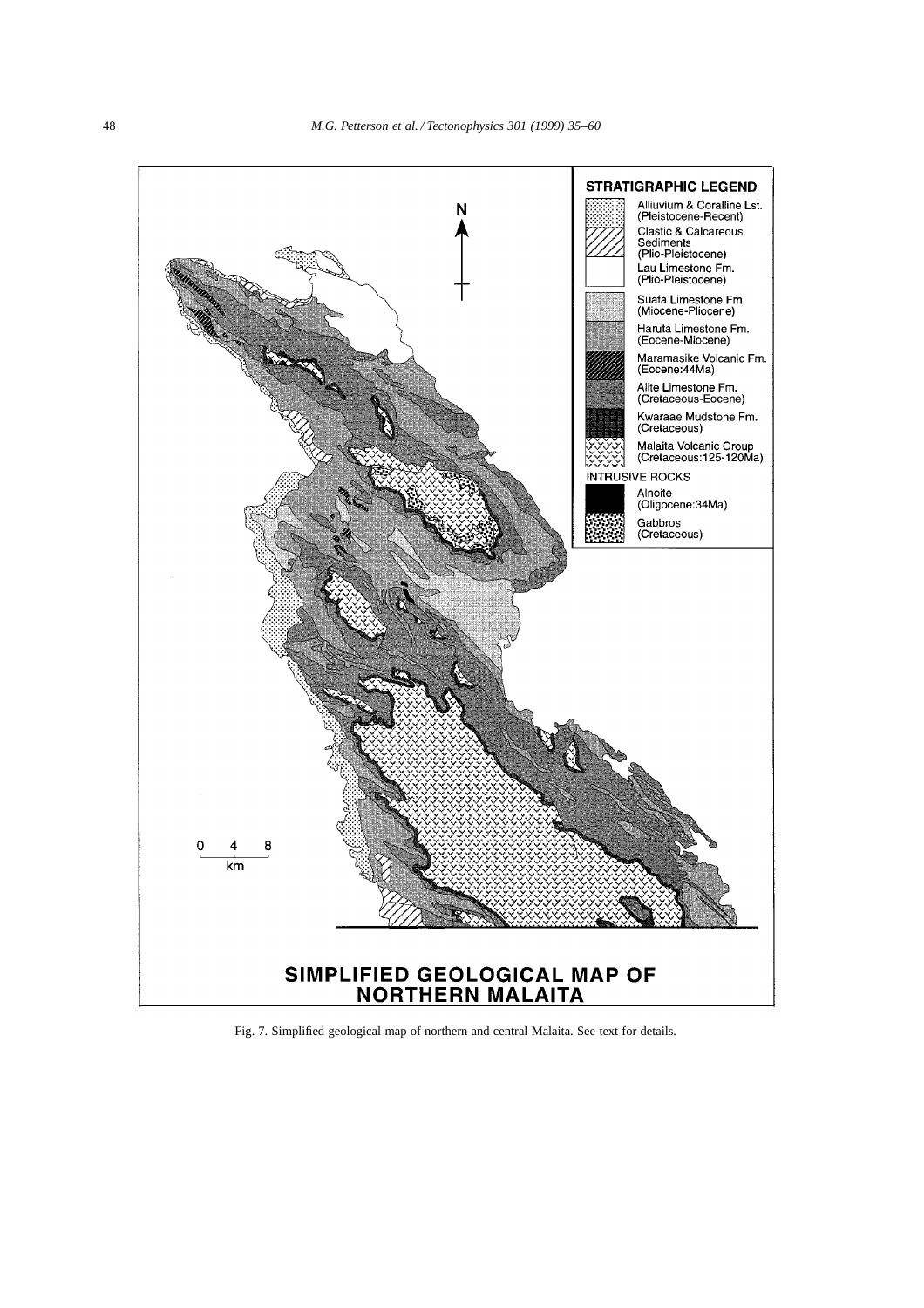

Fig. 7. Simplified geological map of northern and central Malaita. See text for details.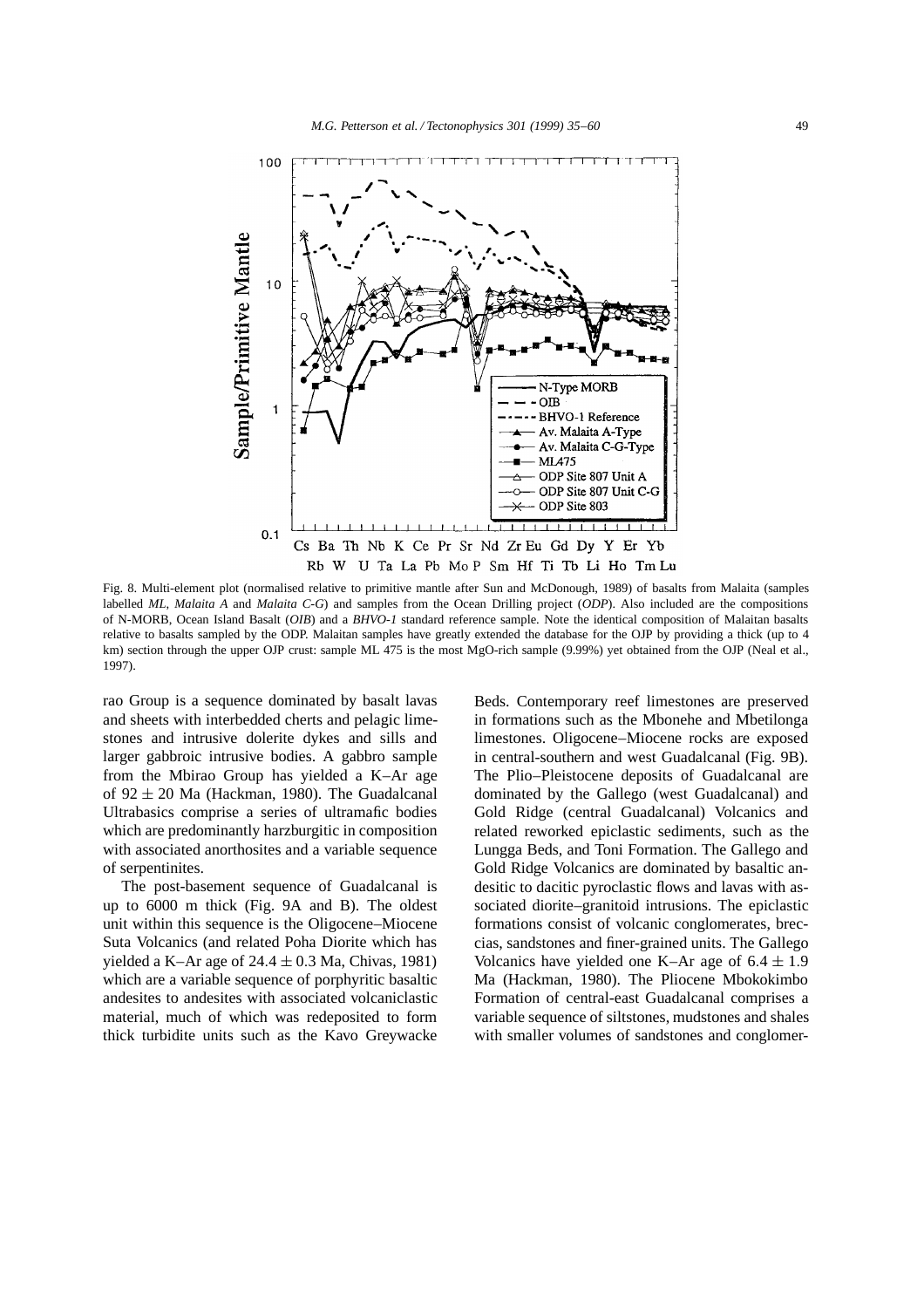

Fig. 8. Multi-element plot (normalised relative to primitive mantle after Sun and McDonough, 1989) of basalts from Malaita (samples labelled *ML*, *Malaita A* and *Malaita C-G*) and samples from the Ocean Drilling project (*ODP*). Also included are the compositions of N-MORB, Ocean Island Basalt (*OIB*) and a *BHVO-1* standard reference sample. Note the identical composition of Malaitan basalts relative to basalts sampled by the ODP. Malaitan samples have greatly extended the database for the OJP by providing a thick (up to 4 km) section through the upper OJP crust: sample ML 475 is the most MgO-rich sample (9.99%) yet obtained from the OJP (Neal et al., 1997).

rao Group is a sequence dominated by basalt lavas and sheets with interbedded cherts and pelagic limestones and intrusive dolerite dykes and sills and larger gabbroic intrusive bodies. A gabbro sample from the Mbirao Group has yielded a K–Ar age of  $92 \pm 20$  Ma (Hackman, 1980). The Guadalcanal Ultrabasics comprise a series of ultramafic bodies which are predominantly harzburgitic in composition with associated anorthosites and a variable sequence of serpentinites.

The post-basement sequence of Guadalcanal is up to 6000 m thick (Fig. 9A and B). The oldest unit within this sequence is the Oligocene–Miocene Suta Volcanics (and related Poha Diorite which has yielded a K–Ar age of  $24.4 \pm 0.3$  Ma, Chivas, 1981) which are a variable sequence of porphyritic basaltic andesites to andesites with associated volcaniclastic material, much of which was redeposited to form thick turbidite units such as the Kavo Greywacke

Beds. Contemporary reef limestones are preserved in formations such as the Mbonehe and Mbetilonga limestones. Oligocene–Miocene rocks are exposed in central-southern and west Guadalcanal (Fig. 9B). The Plio–Pleistocene deposits of Guadalcanal are dominated by the Gallego (west Guadalcanal) and Gold Ridge (central Guadalcanal) Volcanics and related reworked epiclastic sediments, such as the Lungga Beds, and Toni Formation. The Gallego and Gold Ridge Volcanics are dominated by basaltic andesitic to dacitic pyroclastic flows and lavas with associated diorite–granitoid intrusions. The epiclastic formations consist of volcanic conglomerates, breccias, sandstones and finer-grained units. The Gallego Volcanics have yielded one K–Ar age of  $6.4 \pm 1.9$ Ma (Hackman, 1980). The Pliocene Mbokokimbo Formation of central-east Guadalcanal comprises a variable sequence of siltstones, mudstones and shales with smaller volumes of sandstones and conglomer-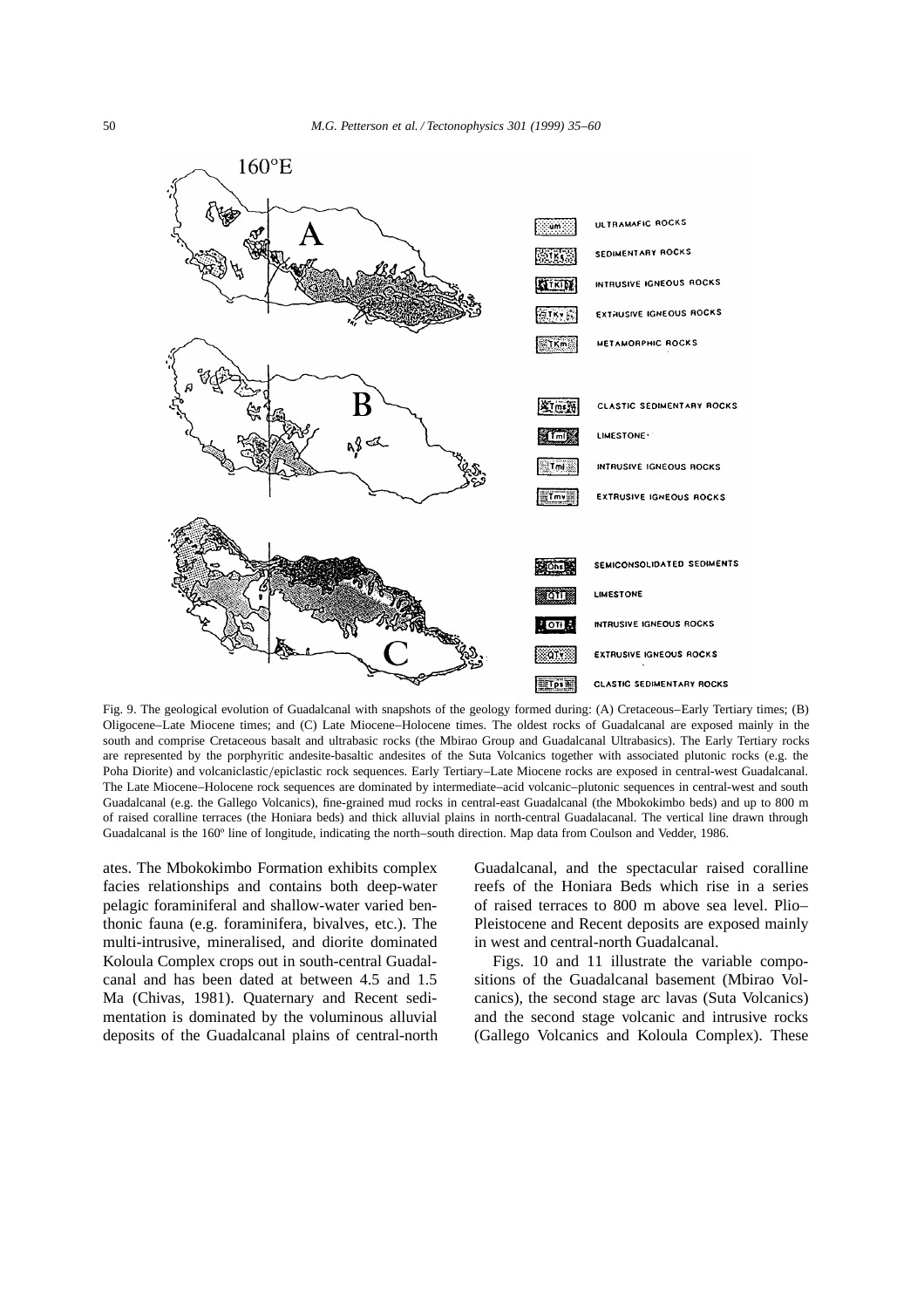

Fig. 9. The geological evolution of Guadalcanal with snapshots of the geology formed during: (A) Cretaceous–Early Tertiary times; (B) Oligocene–Late Miocene times; and (C) Late Miocene–Holocene times. The oldest rocks of Guadalcanal are exposed mainly in the south and comprise Cretaceous basalt and ultrabasic rocks (the Mbirao Group and Guadalcanal Ultrabasics). The Early Tertiary rocks are represented by the porphyritic andesite-basaltic andesites of the Suta Volcanics together with associated plutonic rocks (e.g. the Poha Diorite) and volcaniclastic/epiclastic rock sequences. Early Tertiary–Late Miocene rocks are exposed in central-west Guadalcanal. The Late Miocene–Holocene rock sequences are dominated by intermediate–acid volcanic–plutonic sequences in central-west and south Guadalcanal (e.g. the Gallego Volcanics), fine-grained mud rocks in central-east Guadalcanal (the Mbokokimbo beds) and up to 800 m of raised coralline terraces (the Honiara beds) and thick alluvial plains in north-central Guadalacanal. The vertical line drawn through Guadalcanal is the 160º line of longitude, indicating the north–south direction. Map data from Coulson and Vedder, 1986.

ates. The Mbokokimbo Formation exhibits complex facies relationships and contains both deep-water pelagic foraminiferal and shallow-water varied benthonic fauna (e.g. foraminifera, bivalves, etc.). The multi-intrusive, mineralised, and diorite dominated Koloula Complex crops out in south-central Guadalcanal and has been dated at between 4.5 and 1.5 Ma (Chivas, 1981). Quaternary and Recent sedimentation is dominated by the voluminous alluvial deposits of the Guadalcanal plains of central-north Guadalcanal, and the spectacular raised coralline reefs of the Honiara Beds which rise in a series of raised terraces to 800 m above sea level. Plio– Pleistocene and Recent deposits are exposed mainly in west and central-north Guadalcanal.

Figs. 10 and 11 illustrate the variable compositions of the Guadalcanal basement (Mbirao Volcanics), the second stage arc lavas (Suta Volcanics) and the second stage volcanic and intrusive rocks (Gallego Volcanics and Koloula Complex). These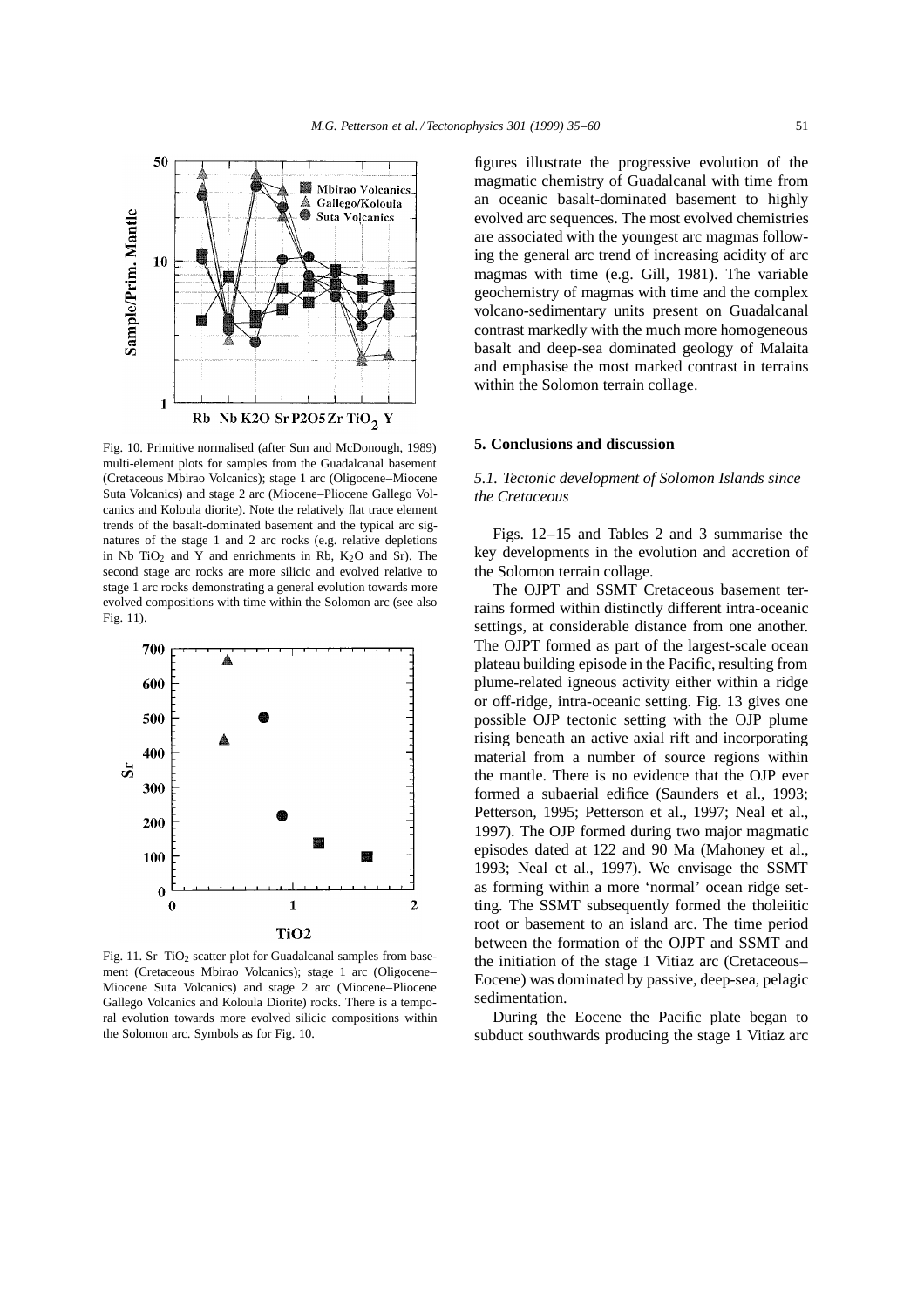

Fig. 10. Primitive normalised (after Sun and McDonough, 1989) multi-element plots for samples from the Guadalcanal basement (Cretaceous Mbirao Volcanics); stage 1 arc (Oligocene–Miocene Suta Volcanics) and stage 2 arc (Miocene–Pliocene Gallego Volcanics and Koloula diorite). Note the relatively flat trace element trends of the basalt-dominated basement and the typical arc signatures of the stage 1 and 2 arc rocks (e.g. relative depletions in Nb TiO<sub>2</sub> and Y and enrichments in Rb,  $K<sub>2</sub>O$  and Sr). The second stage arc rocks are more silicic and evolved relative to stage 1 arc rocks demonstrating a general evolution towards more evolved compositions with time within the Solomon arc (see also Fig. 11).



Fig. 11. Sr-TiO<sub>2</sub> scatter plot for Guadalcanal samples from basement (Cretaceous Mbirao Volcanics); stage 1 arc (Oligocene– Miocene Suta Volcanics) and stage 2 arc (Miocene–Pliocene Gallego Volcanics and Koloula Diorite) rocks. There is a temporal evolution towards more evolved silicic compositions within the Solomon arc. Symbols as for Fig. 10.

figures illustrate the progressive evolution of the magmatic chemistry of Guadalcanal with time from an oceanic basalt-dominated basement to highly evolved arc sequences. The most evolved chemistries are associated with the youngest arc magmas following the general arc trend of increasing acidity of arc magmas with time (e.g. Gill, 1981). The variable geochemistry of magmas with time and the complex volcano-sedimentary units present on Guadalcanal contrast markedly with the much more homogeneous basalt and deep-sea dominated geology of Malaita and emphasise the most marked contrast in terrains within the Solomon terrain collage.

#### **5. Conclusions and discussion**

### *5.1. Tectonic development of Solomon Islands since the Cretaceous*

Figs. 12–15 and Tables 2 and 3 summarise the key developments in the evolution and accretion of the Solomon terrain collage.

The OJPT and SSMT Cretaceous basement terrains formed within distinctly different intra-oceanic settings, at considerable distance from one another. The OJPT formed as part of the largest-scale ocean plateau building episode in the Pacific, resulting from plume-related igneous activity either within a ridge or off-ridge, intra-oceanic setting. Fig. 13 gives one possible OJP tectonic setting with the OJP plume rising beneath an active axial rift and incorporating material from a number of source regions within the mantle. There is no evidence that the OJP ever formed a subaerial edifice (Saunders et al., 1993; Petterson, 1995; Petterson et al., 1997; Neal et al., 1997). The OJP formed during two major magmatic episodes dated at 122 and 90 Ma (Mahoney et al., 1993; Neal et al., 1997). We envisage the SSMT as forming within a more 'normal' ocean ridge setting. The SSMT subsequently formed the tholeiitic root or basement to an island arc. The time period between the formation of the OJPT and SSMT and the initiation of the stage 1 Vitiaz arc (Cretaceous– Eocene) was dominated by passive, deep-sea, pelagic sedimentation.

During the Eocene the Pacific plate began to subduct southwards producing the stage 1 Vitiaz arc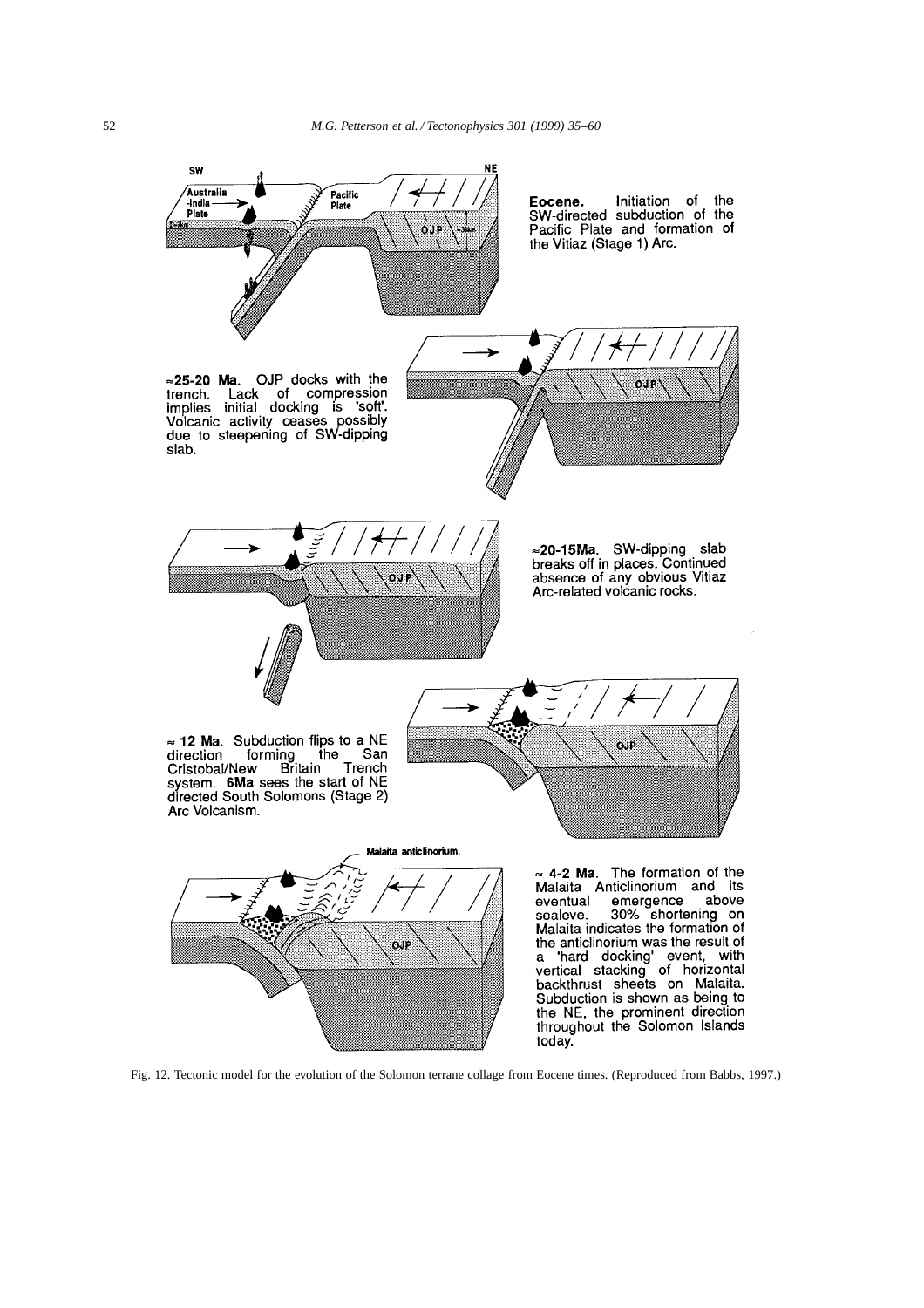

Fig. 12. Tectonic model for the evolution of the Solomon terrane collage from Eocene times. (Reproduced from Babbs, 1997.)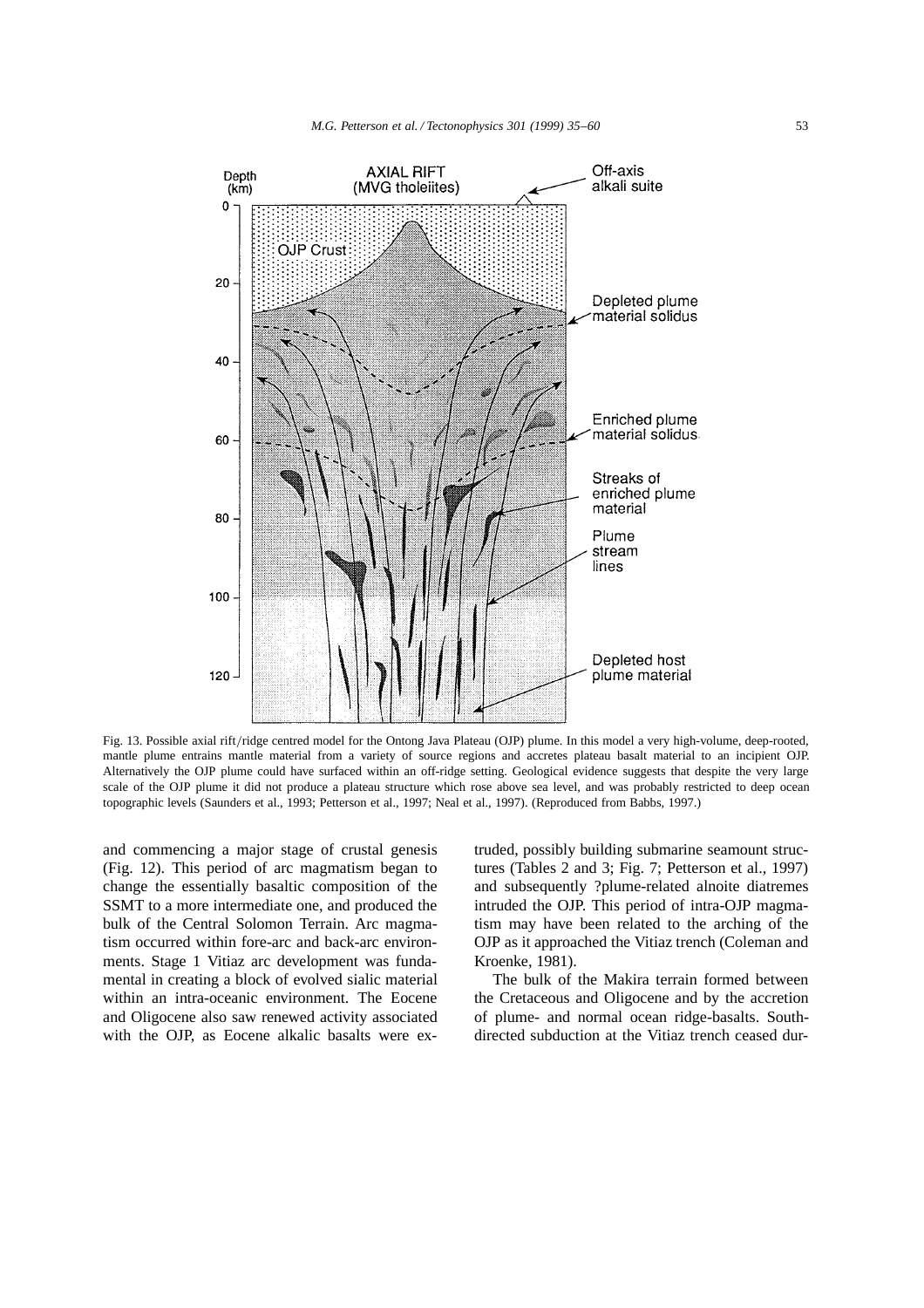

Fig. 13. Possible axial rift/ridge centred model for the Ontong Java Plateau (OJP) plume. In this model a very high-volume, deep-rooted, mantle plume entrains mantle material from a variety of source regions and accretes plateau basalt material to an incipient OJP. Alternatively the OJP plume could have surfaced within an off-ridge setting. Geological evidence suggests that despite the very large scale of the OJP plume it did not produce a plateau structure which rose above sea level, and was probably restricted to deep ocean topographic levels (Saunders et al., 1993; Petterson et al., 1997; Neal et al., 1997). (Reproduced from Babbs, 1997.)

and commencing a major stage of crustal genesis (Fig. 12). This period of arc magmatism began to change the essentially basaltic composition of the SSMT to a more intermediate one, and produced the bulk of the Central Solomon Terrain. Arc magmatism occurred within fore-arc and back-arc environments. Stage 1 Vitiaz arc development was fundamental in creating a block of evolved sialic material within an intra-oceanic environment. The Eocene and Oligocene also saw renewed activity associated with the OJP, as Eocene alkalic basalts were extruded, possibly building submarine seamount structures (Tables 2 and 3; Fig. 7; Petterson et al., 1997) and subsequently ?plume-related alnoite diatremes intruded the OJP. This period of intra-OJP magmatism may have been related to the arching of the OJP as it approached the Vitiaz trench (Coleman and Kroenke, 1981).

The bulk of the Makira terrain formed between the Cretaceous and Oligocene and by the accretion of plume- and normal ocean ridge-basalts. Southdirected subduction at the Vitiaz trench ceased dur-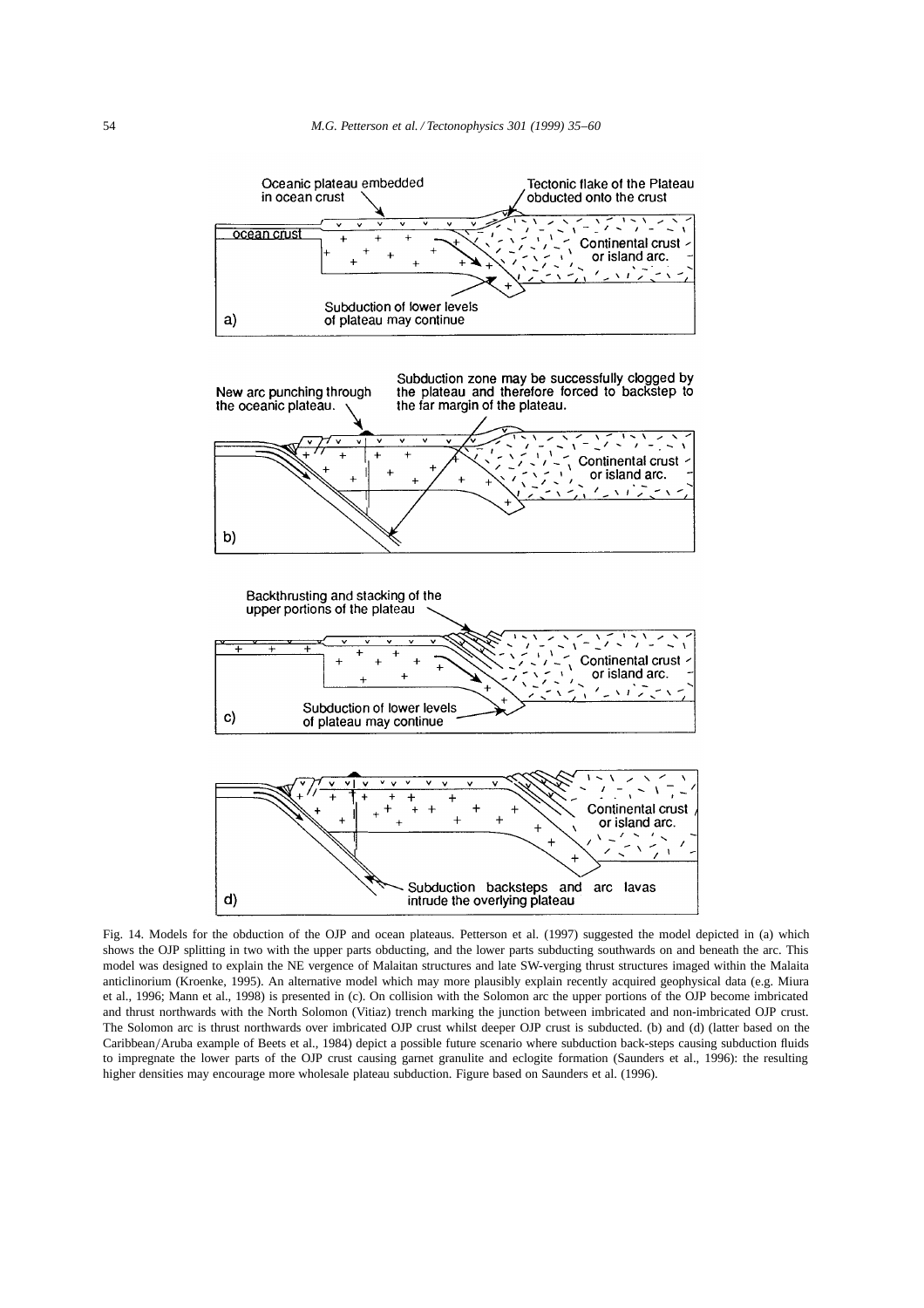

Fig. 14. Models for the obduction of the OJP and ocean plateaus. Petterson et al. (1997) suggested the model depicted in (a) which shows the OJP splitting in two with the upper parts obducting, and the lower parts subducting southwards on and beneath the arc. This model was designed to explain the NE vergence of Malaitan structures and late SW-verging thrust structures imaged within the Malaita anticlinorium (Kroenke, 1995). An alternative model which may more plausibly explain recently acquired geophysical data (e.g. Miura et al., 1996; Mann et al., 1998) is presented in (c). On collision with the Solomon arc the upper portions of the OJP become imbricated and thrust northwards with the North Solomon (Vitiaz) trench marking the junction between imbricated and non-imbricated OJP crust. The Solomon arc is thrust northwards over imbricated OJP crust whilst deeper OJP crust is subducted. (b) and (d) (latter based on the Caribbean/Aruba example of Beets et al., 1984) depict a possible future scenario where subduction back-steps causing subduction fluids to impregnate the lower parts of the OJP crust causing garnet granulite and eclogite formation (Saunders et al., 1996): the resulting higher densities may encourage more wholesale plateau subduction. Figure based on Saunders et al. (1996).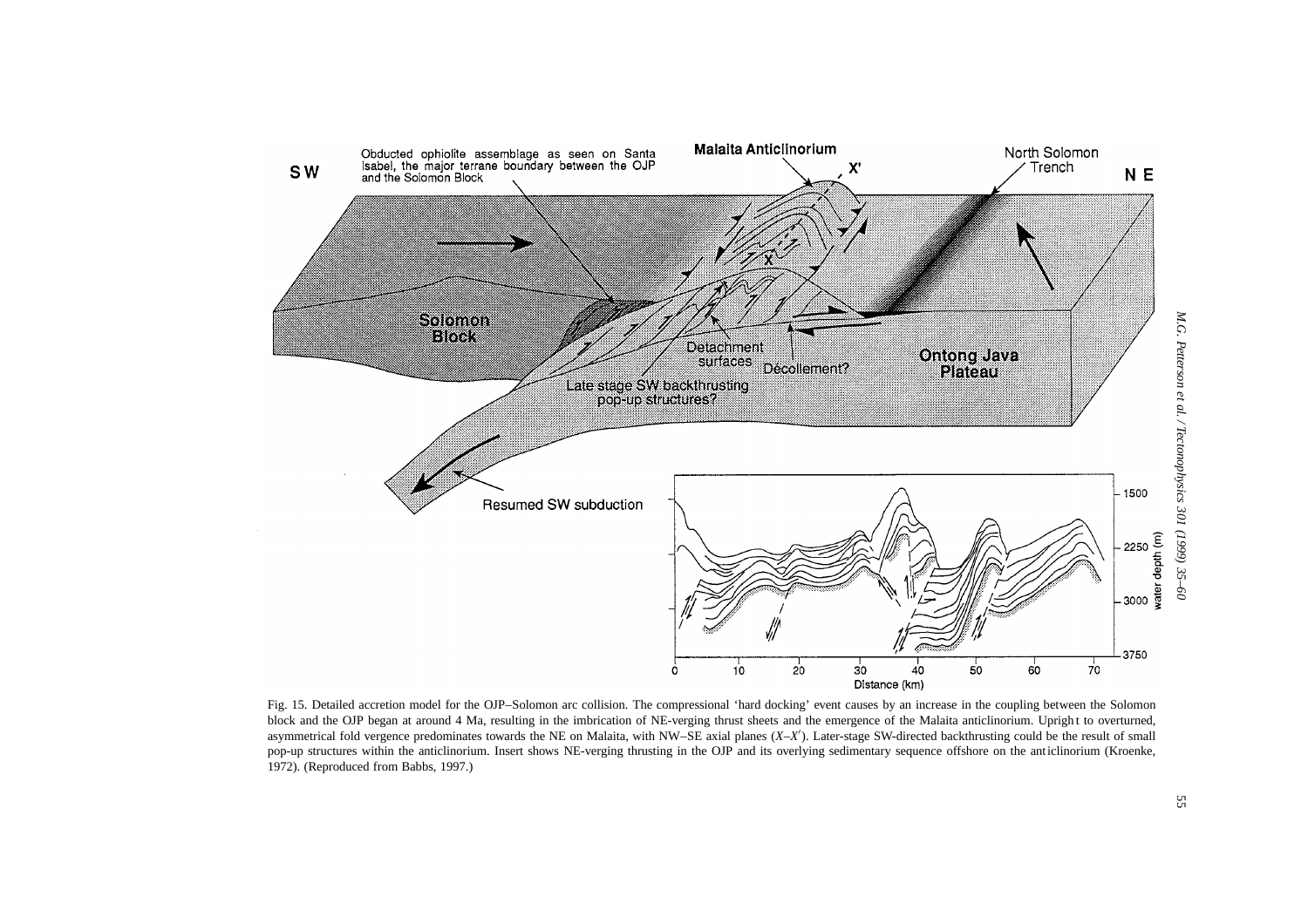

Fig. 15. Detailed accretion model for the OJP-Solomon arc collision. The compressional 'hard docking' event causes by an increase in the coupling between the Solomon<br>block and the OJP began at around 4 Ma, resulting in th asymmetrical fold vergence predominates towards the NE on Malaita, with NW-SE axial planes (X-X'). Later-stage SW-directed backthrusting could be the result of small pop-up structures within the anticlinorium. Insert shows NE-verging thrusting in the OJP and its overlying sedimentary sequence offshore on the anticlinorium (Kroenke, 1972). (Reproduced from Babbs, 1997.)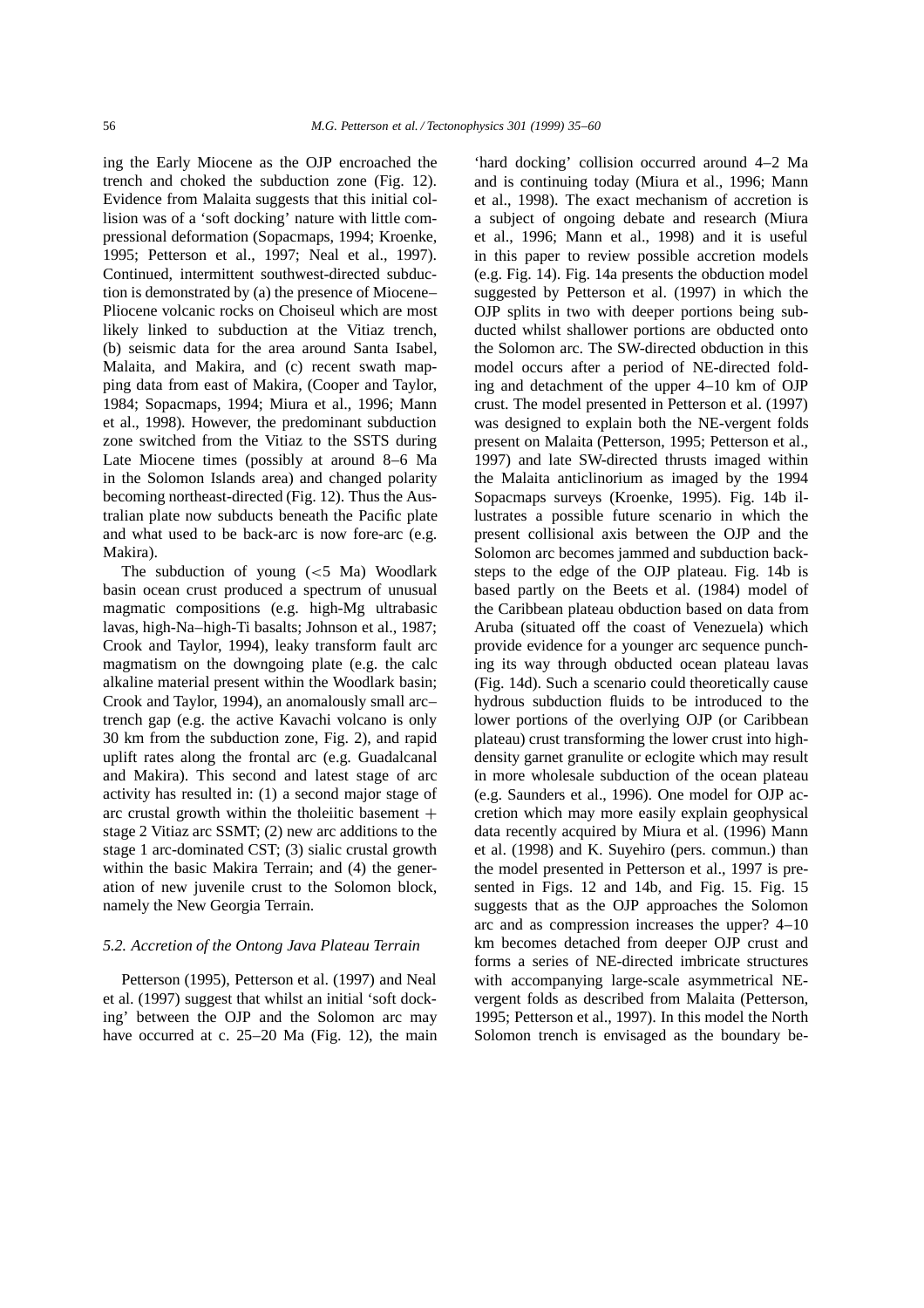ing the Early Miocene as the OJP encroached the trench and choked the subduction zone (Fig. 12). Evidence from Malaita suggests that this initial collision was of a 'soft docking' nature with little compressional deformation (Sopacmaps, 1994; Kroenke, 1995; Petterson et al., 1997; Neal et al., 1997). Continued, intermittent southwest-directed subduction is demonstrated by (a) the presence of Miocene– Pliocene volcanic rocks on Choiseul which are most likely linked to subduction at the Vitiaz trench, (b) seismic data for the area around Santa Isabel, Malaita, and Makira, and (c) recent swath mapping data from east of Makira, (Cooper and Taylor, 1984; Sopacmaps, 1994; Miura et al., 1996; Mann et al., 1998). However, the predominant subduction zone switched from the Vitiaz to the SSTS during Late Miocene times (possibly at around 8–6 Ma in the Solomon Islands area) and changed polarity becoming northeast-directed (Fig. 12). Thus the Australian plate now subducts beneath the Pacific plate and what used to be back-arc is now fore-arc (e.g. Makira).

The subduction of young  $(< 5$  Ma) Woodlark basin ocean crust produced a spectrum of unusual magmatic compositions (e.g. high-Mg ultrabasic lavas, high-Na–high-Ti basalts; Johnson et al., 1987; Crook and Taylor, 1994), leaky transform fault arc magmatism on the downgoing plate (e.g. the calc alkaline material present within the Woodlark basin; Crook and Taylor, 1994), an anomalously small arc– trench gap (e.g. the active Kavachi volcano is only 30 km from the subduction zone, Fig. 2), and rapid uplift rates along the frontal arc (e.g. Guadalcanal and Makira). This second and latest stage of arc activity has resulted in: (1) a second major stage of arc crustal growth within the tholeiitic basement  $+$ stage 2 Vitiaz arc SSMT; (2) new arc additions to the stage 1 arc-dominated CST; (3) sialic crustal growth within the basic Makira Terrain; and (4) the generation of new juvenile crust to the Solomon block, namely the New Georgia Terrain.

#### *5.2. Accretion of the Ontong Java Plateau Terrain*

Petterson (1995), Petterson et al. (1997) and Neal et al. (1997) suggest that whilst an initial 'soft docking' between the OJP and the Solomon arc may have occurred at c. 25–20 Ma (Fig. 12), the main 'hard docking' collision occurred around 4–2 Ma and is continuing today (Miura et al., 1996; Mann et al., 1998). The exact mechanism of accretion is a subject of ongoing debate and research (Miura et al., 1996; Mann et al., 1998) and it is useful in this paper to review possible accretion models (e.g. Fig. 14). Fig. 14a presents the obduction model suggested by Petterson et al. (1997) in which the OJP splits in two with deeper portions being subducted whilst shallower portions are obducted onto the Solomon arc. The SW-directed obduction in this model occurs after a period of NE-directed folding and detachment of the upper 4–10 km of OJP crust. The model presented in Petterson et al. (1997) was designed to explain both the NE-vergent folds present on Malaita (Petterson, 1995; Petterson et al., 1997) and late SW-directed thrusts imaged within the Malaita anticlinorium as imaged by the 1994 Sopacmaps surveys (Kroenke, 1995). Fig. 14b illustrates a possible future scenario in which the present collisional axis between the OJP and the Solomon arc becomes jammed and subduction backsteps to the edge of the OJP plateau. Fig. 14b is based partly on the Beets et al. (1984) model of the Caribbean plateau obduction based on data from Aruba (situated off the coast of Venezuela) which provide evidence for a younger arc sequence punching its way through obducted ocean plateau lavas (Fig. 14d). Such a scenario could theoretically cause hydrous subduction fluids to be introduced to the lower portions of the overlying OJP (or Caribbean plateau) crust transforming the lower crust into highdensity garnet granulite or eclogite which may result in more wholesale subduction of the ocean plateau (e.g. Saunders et al., 1996). One model for OJP accretion which may more easily explain geophysical data recently acquired by Miura et al. (1996) Mann et al. (1998) and K. Suyehiro (pers. commun.) than the model presented in Petterson et al., 1997 is presented in Figs. 12 and 14b, and Fig. 15. Fig. 15 suggests that as the OJP approaches the Solomon arc and as compression increases the upper? 4–10 km becomes detached from deeper OJP crust and forms a series of NE-directed imbricate structures with accompanying large-scale asymmetrical NEvergent folds as described from Malaita (Petterson, 1995; Petterson et al., 1997). In this model the North Solomon trench is envisaged as the boundary be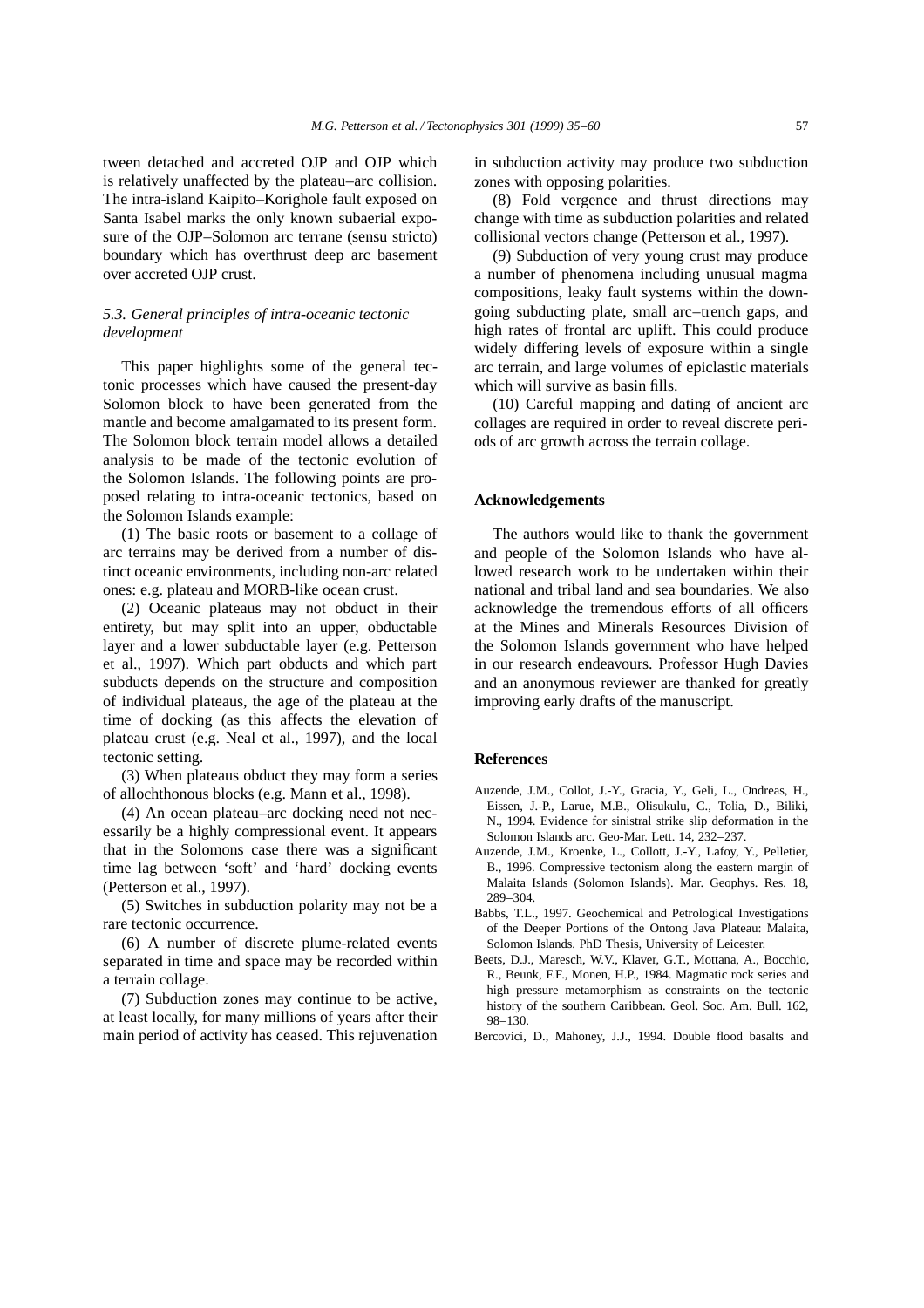tween detached and accreted OJP and OJP which is relatively unaffected by the plateau–arc collision. The intra-island Kaipito–Korighole fault exposed on Santa Isabel marks the only known subaerial exposure of the OJP–Solomon arc terrane (sensu stricto) boundary which has overthrust deep arc basement over accreted OJP crust.

# *5.3. General principles of intra-oceanic tectonic development*

This paper highlights some of the general tectonic processes which have caused the present-day Solomon block to have been generated from the mantle and become amalgamated to its present form. The Solomon block terrain model allows a detailed analysis to be made of the tectonic evolution of the Solomon Islands. The following points are proposed relating to intra-oceanic tectonics, based on the Solomon Islands example:

(1) The basic roots or basement to a collage of arc terrains may be derived from a number of distinct oceanic environments, including non-arc related ones: e.g. plateau and MORB-like ocean crust.

(2) Oceanic plateaus may not obduct in their entirety, but may split into an upper, obductable layer and a lower subductable layer (e.g. Petterson et al., 1997). Which part obducts and which part subducts depends on the structure and composition of individual plateaus, the age of the plateau at the time of docking (as this affects the elevation of plateau crust (e.g. Neal et al., 1997), and the local tectonic setting.

(3) When plateaus obduct they may form a series of allochthonous blocks (e.g. Mann et al., 1998).

(4) An ocean plateau–arc docking need not necessarily be a highly compressional event. It appears that in the Solomons case there was a significant time lag between 'soft' and 'hard' docking events (Petterson et al., 1997).

(5) Switches in subduction polarity may not be a rare tectonic occurrence.

(6) A number of discrete plume-related events separated in time and space may be recorded within a terrain collage.

(7) Subduction zones may continue to be active, at least locally, for many millions of years after their main period of activity has ceased. This rejuvenation

in subduction activity may produce two subduction zones with opposing polarities.

(8) Fold vergence and thrust directions may change with time as subduction polarities and related collisional vectors change (Petterson et al., 1997).

(9) Subduction of very young crust may produce a number of phenomena including unusual magma compositions, leaky fault systems within the downgoing subducting plate, small arc–trench gaps, and high rates of frontal arc uplift. This could produce widely differing levels of exposure within a single arc terrain, and large volumes of epiclastic materials which will survive as basin fills.

(10) Careful mapping and dating of ancient arc collages are required in order to reveal discrete periods of arc growth across the terrain collage.

#### **Acknowledgements**

The authors would like to thank the government and people of the Solomon Islands who have allowed research work to be undertaken within their national and tribal land and sea boundaries. We also acknowledge the tremendous efforts of all officers at the Mines and Minerals Resources Division of the Solomon Islands government who have helped in our research endeavours. Professor Hugh Davies and an anonymous reviewer are thanked for greatly improving early drafts of the manuscript.

#### **References**

- Auzende, J.M., Collot, J.-Y., Gracia, Y., Geli, L., Ondreas, H., Eissen, J.-P., Larue, M.B., Olisukulu, C., Tolia, D., Biliki, N., 1994. Evidence for sinistral strike slip deformation in the Solomon Islands arc. Geo-Mar. Lett. 14, 232–237.
- Auzende, J.M., Kroenke, L., Collott, J.-Y., Lafoy, Y., Pelletier, B., 1996. Compressive tectonism along the eastern margin of Malaita Islands (Solomon Islands). Mar. Geophys. Res. 18, 289–304.
- Babbs, T.L., 1997. Geochemical and Petrological Investigations of the Deeper Portions of the Ontong Java Plateau: Malaita, Solomon Islands. PhD Thesis, University of Leicester.
- Beets, D.J., Maresch, W.V., Klaver, G.T., Mottana, A., Bocchio, R., Beunk, F.F., Monen, H.P., 1984. Magmatic rock series and high pressure metamorphism as constraints on the tectonic history of the southern Caribbean. Geol. Soc. Am. Bull. 162, 98–130.
- Bercovici, D., Mahoney, J.J., 1994. Double flood basalts and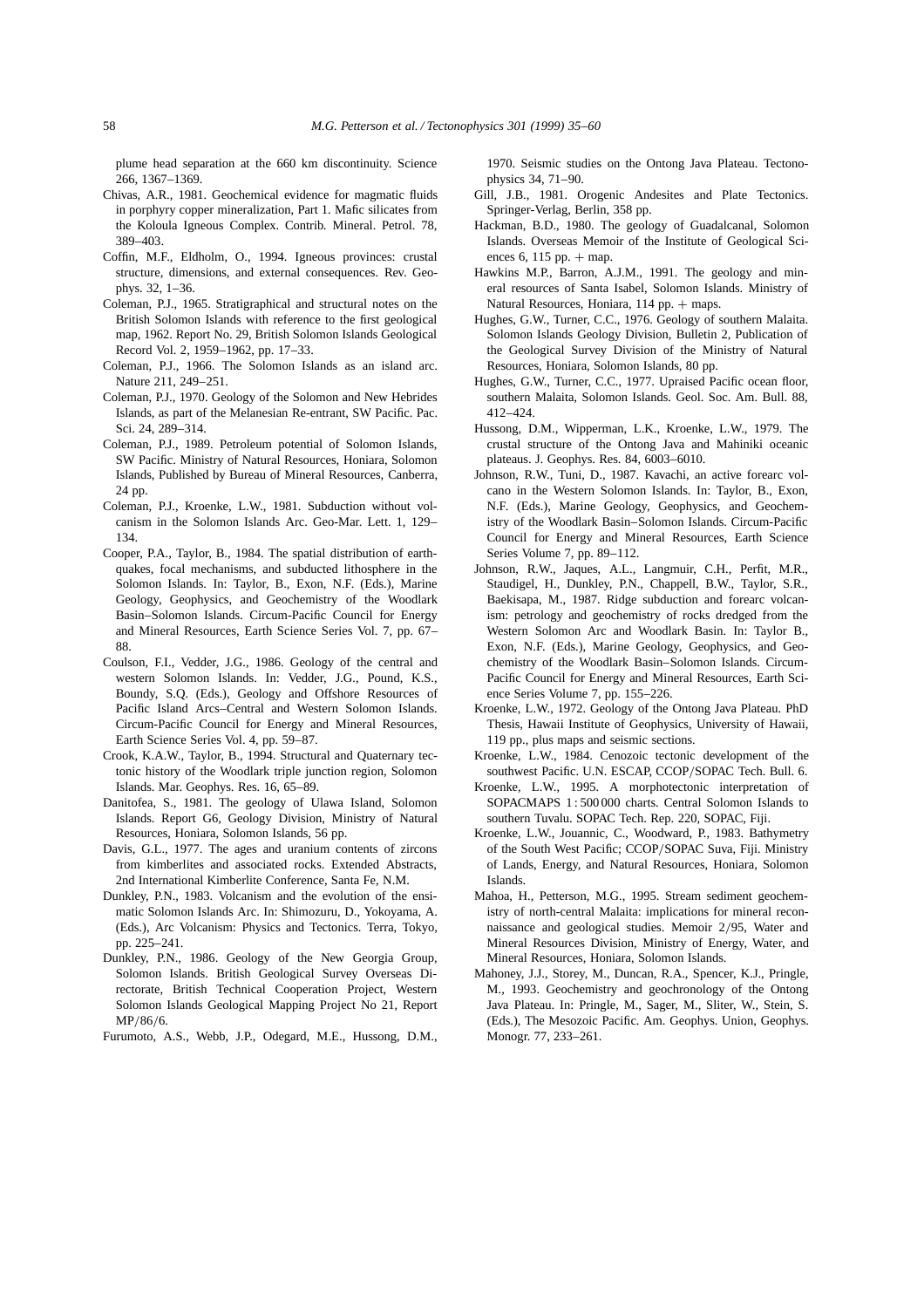plume head separation at the 660 km discontinuity. Science 266, 1367–1369.

- Chivas, A.R., 1981. Geochemical evidence for magmatic fluids in porphyry copper mineralization, Part 1. Mafic silicates from the Koloula Igneous Complex. Contrib. Mineral. Petrol. 78, 389–403.
- Coffin, M.F., Eldholm, O., 1994. Igneous provinces: crustal structure, dimensions, and external consequences. Rev. Geophys. 32, 1–36.
- Coleman, P.J., 1965. Stratigraphical and structural notes on the British Solomon Islands with reference to the first geological map, 1962. Report No. 29, British Solomon Islands Geological Record Vol. 2, 1959–1962, pp. 17–33.
- Coleman, P.J., 1966. The Solomon Islands as an island arc. Nature 211, 249–251.
- Coleman, P.J., 1970. Geology of the Solomon and New Hebrides Islands, as part of the Melanesian Re-entrant, SW Pacific. Pac. Sci. 24, 289–314.
- Coleman, P.J., 1989. Petroleum potential of Solomon Islands, SW Pacific. Ministry of Natural Resources, Honiara, Solomon Islands, Published by Bureau of Mineral Resources, Canberra, 24 pp.
- Coleman, P.J., Kroenke, L.W., 1981. Subduction without volcanism in the Solomon Islands Arc. Geo-Mar. Lett. 1, 129– 134.
- Cooper, P.A., Taylor, B., 1984. The spatial distribution of earthquakes, focal mechanisms, and subducted lithosphere in the Solomon Islands. In: Taylor, B., Exon, N.F. (Eds.), Marine Geology, Geophysics, and Geochemistry of the Woodlark Basin–Solomon Islands. Circum-Pacific Council for Energy and Mineral Resources, Earth Science Series Vol. 7, pp. 67– 88.
- Coulson, F.I., Vedder, J.G., 1986. Geology of the central and western Solomon Islands. In: Vedder, J.G., Pound, K.S., Boundy, S.Q. (Eds.), Geology and Offshore Resources of Pacific Island Arcs–Central and Western Solomon Islands. Circum-Pacific Council for Energy and Mineral Resources, Earth Science Series Vol. 4, pp. 59–87.
- Crook, K.A.W., Taylor, B., 1994. Structural and Quaternary tectonic history of the Woodlark triple junction region, Solomon Islands. Mar. Geophys. Res. 16, 65–89.
- Danitofea, S., 1981. The geology of Ulawa Island, Solomon Islands. Report G6, Geology Division, Ministry of Natural Resources, Honiara, Solomon Islands, 56 pp.
- Davis, G.L., 1977. The ages and uranium contents of zircons from kimberlites and associated rocks. Extended Abstracts, 2nd International Kimberlite Conference, Santa Fe, N.M.
- Dunkley, P.N., 1983. Volcanism and the evolution of the ensimatic Solomon Islands Arc. In: Shimozuru, D., Yokoyama, A. (Eds.), Arc Volcanism: Physics and Tectonics. Terra, Tokyo, pp. 225–241.
- Dunkley, P.N., 1986. Geology of the New Georgia Group, Solomon Islands. British Geological Survey Overseas Directorate, British Technical Cooperation Project, Western Solomon Islands Geological Mapping Project No 21, Report MP/86/6.
- Furumoto, A.S., Webb, J.P., Odegard, M.E., Hussong, D.M.,

1970. Seismic studies on the Ontong Java Plateau. Tectonophysics 34, 71–90.

- Gill, J.B., 1981. Orogenic Andesites and Plate Tectonics. Springer-Verlag, Berlin, 358 pp.
- Hackman, B.D., 1980. The geology of Guadalcanal, Solomon Islands. Overseas Memoir of the Institute of Geological Sciences 6, 115 pp.  $+$  map.
- Hawkins M.P., Barron, A.J.M., 1991. The geology and mineral resources of Santa Isabel, Solomon Islands. Ministry of Natural Resources, Honiara,  $114$  pp.  $+$  maps.
- Hughes, G.W., Turner, C.C., 1976. Geology of southern Malaita. Solomon Islands Geology Division, Bulletin 2, Publication of the Geological Survey Division of the Ministry of Natural Resources, Honiara, Solomon Islands, 80 pp.
- Hughes, G.W., Turner, C.C., 1977. Upraised Pacific ocean floor, southern Malaita, Solomon Islands. Geol. Soc. Am. Bull. 88, 412–424.
- Hussong, D.M., Wipperman, L.K., Kroenke, L.W., 1979. The crustal structure of the Ontong Java and Mahiniki oceanic plateaus. J. Geophys. Res. 84, 6003–6010.
- Johnson, R.W., Tuni, D., 1987. Kavachi, an active forearc volcano in the Western Solomon Islands. In: Taylor, B., Exon, N.F. (Eds.), Marine Geology, Geophysics, and Geochemistry of the Woodlark Basin–Solomon Islands. Circum-Pacific Council for Energy and Mineral Resources, Earth Science Series Volume 7, pp. 89–112.
- Johnson, R.W., Jaques, A.L., Langmuir, C.H., Perfit, M.R., Staudigel, H., Dunkley, P.N., Chappell, B.W., Taylor, S.R., Baekisapa, M., 1987. Ridge subduction and forearc volcanism: petrology and geochemistry of rocks dredged from the Western Solomon Arc and Woodlark Basin. In: Taylor B., Exon, N.F. (Eds.), Marine Geology, Geophysics, and Geochemistry of the Woodlark Basin–Solomon Islands. Circum-Pacific Council for Energy and Mineral Resources, Earth Science Series Volume 7, pp. 155–226.
- Kroenke, L.W., 1972. Geology of the Ontong Java Plateau. PhD Thesis, Hawaii Institute of Geophysics, University of Hawaii, 119 pp., plus maps and seismic sections.
- Kroenke, L.W., 1984. Cenozoic tectonic development of the southwest Pacific. U.N. ESCAP, CCOP/SOPAC Tech. Bull. 6.
- Kroenke, L.W., 1995. A morphotectonic interpretation of SOPACMAPS 1 : 500 000 charts. Central Solomon Islands to southern Tuvalu. SOPAC Tech. Rep. 220, SOPAC, Fiji.
- Kroenke, L.W., Jouannic, C., Woodward, P., 1983. Bathymetry of the South West Pacific; CCOP/SOPAC Suva, Fiji. Ministry of Lands, Energy, and Natural Resources, Honiara, Solomon Islands.
- Mahoa, H., Petterson, M.G., 1995. Stream sediment geochemistry of north-central Malaita: implications for mineral reconnaissance and geological studies. Memoir 2/95, Water and Mineral Resources Division, Ministry of Energy, Water, and Mineral Resources, Honiara, Solomon Islands.
- Mahoney, J.J., Storey, M., Duncan, R.A., Spencer, K.J., Pringle, M., 1993. Geochemistry and geochronology of the Ontong Java Plateau. In: Pringle, M., Sager, M., Sliter, W., Stein, S. (Eds.), The Mesozoic Pacific. Am. Geophys. Union, Geophys. Monogr. 77, 233–261.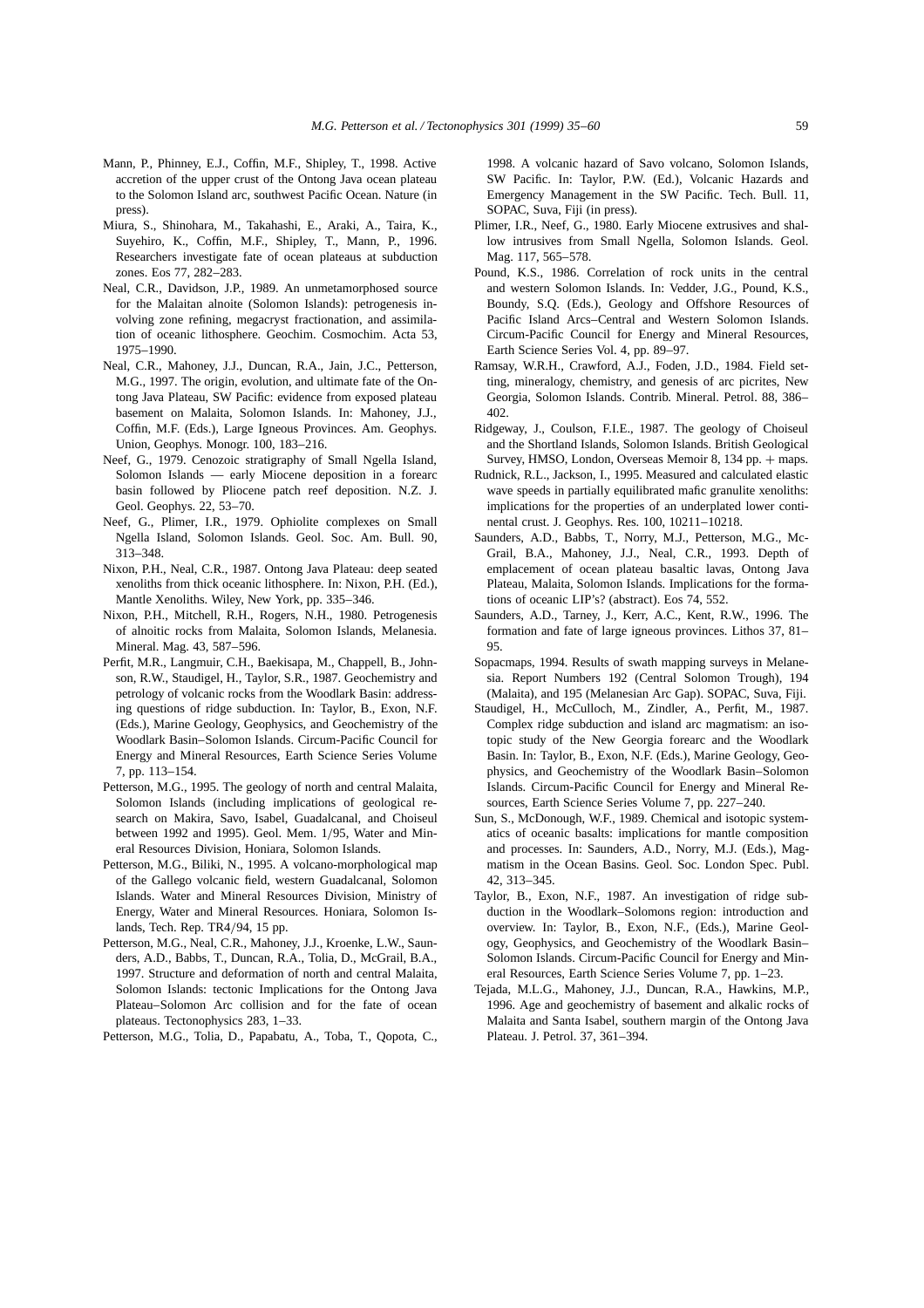- Mann, P., Phinney, E.J., Coffin, M.F., Shipley, T., 1998. Active accretion of the upper crust of the Ontong Java ocean plateau to the Solomon Island arc, southwest Pacific Ocean. Nature (in press).
- Miura, S., Shinohara, M., Takahashi, E., Araki, A., Taira, K., Suyehiro, K., Coffin, M.F., Shipley, T., Mann, P., 1996. Researchers investigate fate of ocean plateaus at subduction zones. Eos 77, 282–283.
- Neal, C.R., Davidson, J.P., 1989. An unmetamorphosed source for the Malaitan alnoite (Solomon Islands): petrogenesis involving zone refining, megacryst fractionation, and assimilation of oceanic lithosphere. Geochim. Cosmochim. Acta 53, 1975–1990.
- Neal, C.R., Mahoney, J.J., Duncan, R.A., Jain, J.C., Petterson, M.G., 1997. The origin, evolution, and ultimate fate of the Ontong Java Plateau, SW Pacific: evidence from exposed plateau basement on Malaita, Solomon Islands. In: Mahoney, J.J., Coffin, M.F. (Eds.), Large Igneous Provinces. Am. Geophys. Union, Geophys. Monogr. 100, 183–216.
- Neef, G., 1979. Cenozoic stratigraphy of Small Ngella Island, Solomon Islands — early Miocene deposition in a forearc basin followed by Pliocene patch reef deposition. N.Z. J. Geol. Geophys. 22, 53–70.
- Neef, G., Plimer, I.R., 1979. Ophiolite complexes on Small Ngella Island, Solomon Islands. Geol. Soc. Am. Bull. 90, 313–348.
- Nixon, P.H., Neal, C.R., 1987. Ontong Java Plateau: deep seated xenoliths from thick oceanic lithosphere. In: Nixon, P.H. (Ed.), Mantle Xenoliths. Wiley, New York, pp. 335–346.
- Nixon, P.H., Mitchell, R.H., Rogers, N.H., 1980. Petrogenesis of alnoitic rocks from Malaita, Solomon Islands, Melanesia. Mineral. Mag. 43, 587–596.
- Perfit, M.R., Langmuir, C.H., Baekisapa, M., Chappell, B., Johnson, R.W., Staudigel, H., Taylor, S.R., 1987. Geochemistry and petrology of volcanic rocks from the Woodlark Basin: addressing questions of ridge subduction. In: Taylor, B., Exon, N.F. (Eds.), Marine Geology, Geophysics, and Geochemistry of the Woodlark Basin–Solomon Islands. Circum-Pacific Council for Energy and Mineral Resources, Earth Science Series Volume 7, pp. 113–154.
- Petterson, M.G., 1995. The geology of north and central Malaita, Solomon Islands (including implications of geological research on Makira, Savo, Isabel, Guadalcanal, and Choiseul between 1992 and 1995). Geol. Mem. 1/95, Water and Mineral Resources Division, Honiara, Solomon Islands.
- Petterson, M.G., Biliki, N., 1995. A volcano-morphological map of the Gallego volcanic field, western Guadalcanal, Solomon Islands. Water and Mineral Resources Division, Ministry of Energy, Water and Mineral Resources. Honiara, Solomon Islands, Tech. Rep.  $TR4/94$ , 15 pp.
- Petterson, M.G., Neal, C.R., Mahoney, J.J., Kroenke, L.W., Saunders, A.D., Babbs, T., Duncan, R.A., Tolia, D., McGrail, B.A., 1997. Structure and deformation of north and central Malaita, Solomon Islands: tectonic Implications for the Ontong Java Plateau–Solomon Arc collision and for the fate of ocean plateaus. Tectonophysics 283, 1–33.

Petterson, M.G., Tolia, D., Papabatu, A., Toba, T., Qopota, C.,

1998. A volcanic hazard of Savo volcano, Solomon Islands, SW Pacific. In: Taylor, P.W. (Ed.), Volcanic Hazards and Emergency Management in the SW Pacific. Tech. Bull. 11, SOPAC, Suva, Fiji (in press).

- Plimer, I.R., Neef, G., 1980. Early Miocene extrusives and shallow intrusives from Small Ngella, Solomon Islands. Geol. Mag. 117, 565–578.
- Pound, K.S., 1986. Correlation of rock units in the central and western Solomon Islands. In: Vedder, J.G., Pound, K.S., Boundy, S.Q. (Eds.), Geology and Offshore Resources of Pacific Island Arcs–Central and Western Solomon Islands. Circum-Pacific Council for Energy and Mineral Resources, Earth Science Series Vol. 4, pp. 89–97.
- Ramsay, W.R.H., Crawford, A.J., Foden, J.D., 1984. Field setting, mineralogy, chemistry, and genesis of arc picrites, New Georgia, Solomon Islands. Contrib. Mineral. Petrol. 88, 386– 402.
- Ridgeway, J., Coulson, F.I.E., 1987. The geology of Choiseul and the Shortland Islands, Solomon Islands. British Geological Survey, HMSO, London, Overseas Memoir 8,  $134$  pp.  $+$  maps.
- Rudnick, R.L., Jackson, I., 1995. Measured and calculated elastic wave speeds in partially equilibrated mafic granulite xenoliths: implications for the properties of an underplated lower continental crust. J. Geophys. Res. 100, 10211–10218.
- Saunders, A.D., Babbs, T., Norry, M.J., Petterson, M.G., Mc-Grail, B.A., Mahoney, J.J., Neal, C.R., 1993. Depth of emplacement of ocean plateau basaltic lavas, Ontong Java Plateau, Malaita, Solomon Islands. Implications for the formations of oceanic LIP's? (abstract). Eos 74, 552.
- Saunders, A.D., Tarney, J., Kerr, A.C., Kent, R.W., 1996. The formation and fate of large igneous provinces. Lithos 37, 81– 95.
- Sopacmaps, 1994. Results of swath mapping surveys in Melanesia. Report Numbers 192 (Central Solomon Trough), 194 (Malaita), and 195 (Melanesian Arc Gap). SOPAC, Suva, Fiji.
- Staudigel, H., McCulloch, M., Zindler, A., Perfit, M., 1987. Complex ridge subduction and island arc magmatism: an isotopic study of the New Georgia forearc and the Woodlark Basin. In: Taylor, B., Exon, N.F. (Eds.), Marine Geology, Geophysics, and Geochemistry of the Woodlark Basin–Solomon Islands. Circum-Pacific Council for Energy and Mineral Resources, Earth Science Series Volume 7, pp. 227–240.
- Sun, S., McDonough, W.F., 1989. Chemical and isotopic systematics of oceanic basalts: implications for mantle composition and processes. In: Saunders, A.D., Norry, M.J. (Eds.), Magmatism in the Ocean Basins. Geol. Soc. London Spec. Publ. 42, 313–345.
- Taylor, B., Exon, N.F., 1987. An investigation of ridge subduction in the Woodlark–Solomons region: introduction and overview. In: Taylor, B., Exon, N.F., (Eds.), Marine Geology, Geophysics, and Geochemistry of the Woodlark Basin– Solomon Islands. Circum-Pacific Council for Energy and Mineral Resources, Earth Science Series Volume 7, pp. 1–23.
- Tejada, M.L.G., Mahoney, J.J., Duncan, R.A., Hawkins, M.P., 1996. Age and geochemistry of basement and alkalic rocks of Malaita and Santa Isabel, southern margin of the Ontong Java Plateau. J. Petrol. 37, 361–394.